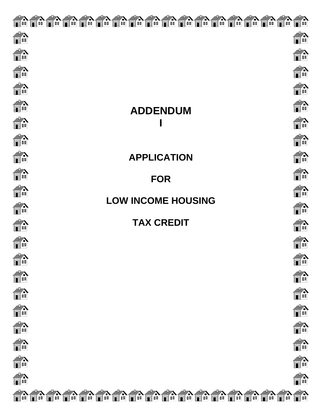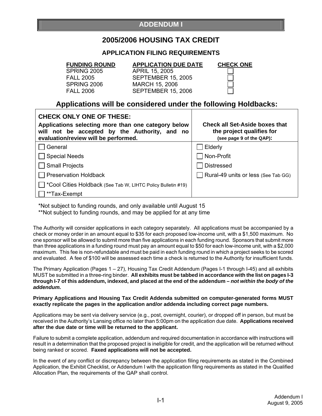## **2005/2006 HOUSING TAX CREDIT**

### **APPLICATION FILING REQUIREMENTS**

**FUNDING ROUND APPLICATION DUE DATE CHECK ONE**

 SPRING 2005 APRIL 15, 2005 FALL 2005 SEPTEMBER 15, 2005 **MARCH 15, 2006** FALL 2006 SEPTEMBER 15, 2006

**Applications will be considered under the following Holdbacks:** 

| <b>CHECK ONLY ONE OF THESE:</b><br>Applications selecting more than one category below<br>will not be accepted by the Authority, and no<br>evaluation/review will be performed. | <b>Check all Set-Aside boxes that</b><br>the project qualifies for<br>(see page 9 of the QAP): |  |
|---------------------------------------------------------------------------------------------------------------------------------------------------------------------------------|------------------------------------------------------------------------------------------------|--|
| General                                                                                                                                                                         | Elderly                                                                                        |  |
| <b>Special Needs</b>                                                                                                                                                            | Non-Profit                                                                                     |  |
| $\Box$ Small Projects                                                                                                                                                           | <b>Distressed</b>                                                                              |  |
| Preservation Holdback                                                                                                                                                           | Rural-49 units or less (See Tab GG)                                                            |  |
| *Cool Cities Holdback (See Tab W, LIHTC Policy Bulletin #19)                                                                                                                    |                                                                                                |  |
| **Tax-Exempt                                                                                                                                                                    |                                                                                                |  |

\*Not subject to funding rounds, and only available until August 15

\*\*Not subject to funding rounds, and may be applied for at any time

The Authority will consider applications in each category separately. All applications must be accompanied by a check or money order in an amount equal to \$35 for each proposed low-income unit, with a \$1,500 maximum. No one sponsor will be allowed to submit more than five applications in each funding round. Sponsors that submit more than three applications in a funding round must pay an amount equal to \$50 for each low-income unit, with a \$2,000 maximum. This fee is non-refundable and must be paid in each funding round in which a project seeks to be scored and evaluated. A fee of \$100 will be assessed each time a check is returned to the Authority for insufficient funds.

The Primary Application (Pages 1 – 27), Housing Tax Credit Addendum (Pages I-1 through I-45) and all exhibits MUST be submitted in a three-ring binder. **All exhibits must be tabbed in accordance with the list on pages I-3 through I-7 of this addendum, indexed, and placed at the end of the addendum –** *not within the body of the addendum.* 

**Primary Applications and Housing Tax Credit Addenda submitted on computer-generated forms MUST exactly replicate the pages in the application and/or addenda including correct page numbers.** 

Applications may be sent via delivery service (e.g., post, overnight, courier), or dropped off in person, but must be received in the Authority's Lansing office no later than 5:00pm on the application due date. **Applications received after the due date or time will be returned to the applicant.** 

Failure to submit a complete application, addendum and required documentation in accordance with instructions will result in a determination that the proposed project is ineligible for credit, and the application will be returned without being ranked or scored. **Faxed applications will not be accepted.**

In the event of any conflict or discrepancy between the application filing requirements as stated in the Combined Application, the Exhibit Checklist, or Addendum I with the application filing requirements as stated in the Qualified Allocation Plan, the requirements of the QAP shall control.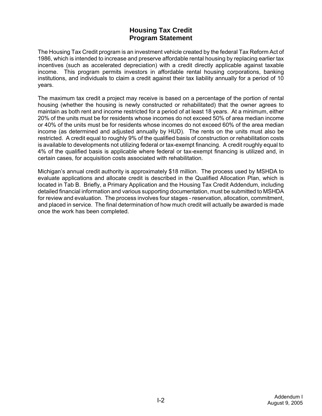## **Housing Tax Credit Program Statement**

The Housing Tax Credit program is an investment vehicle created by the federal Tax Reform Act of 1986, which is intended to increase and preserve affordable rental housing by replacing earlier tax incentives (such as accelerated depreciation) with a credit directly applicable against taxable income. This program permits investors in affordable rental housing corporations, banking institutions, and individuals to claim a credit against their tax liability annually for a period of 10 years.

The maximum tax credit a project may receive is based on a percentage of the portion of rental housing (whether the housing is newly constructed or rehabilitated) that the owner agrees to maintain as both rent and income restricted for a period of at least 18 years. At a minimum, either 20% of the units must be for residents whose incomes do not exceed 50% of area median income or 40% of the units must be for residents whose incomes do not exceed 60% of the area median income (as determined and adjusted annually by HUD). The rents on the units must also be restricted. A credit equal to roughly 9% of the qualified basis of construction or rehabilitation costs is available to developments not utilizing federal or tax-exempt financing. A credit roughly equal to 4% of the qualified basis is applicable where federal or tax-exempt financing is utilized and, in certain cases, for acquisition costs associated with rehabilitation.

Michigan's annual credit authority is approximately \$18 million. The process used by MSHDA to evaluate applications and allocate credit is described in the Qualified Allocation Plan, which is located in Tab B. Briefly, a Primary Application and the Housing Tax Credit Addendum, including detailed financial information and various supporting documentation, must be submitted to MSHDA for review and evaluation. The process involves four stages - reservation, allocation, commitment, and placed in service. The final determination of how much credit will actually be awarded is made once the work has been completed.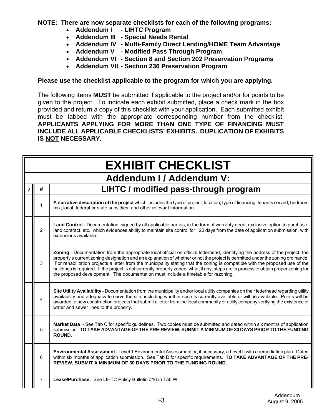**NOTE: There are now separate checklists for each of the following programs:** 

- **Addendum I LIHTC Program**
- **Addendum III Special Needs Rental**
- **Addendum IV Multi-Family Direct Lending/HOME Team Advantage**
- **Addendum V Modified Pass Through Program**
- **Addendum VI Section 8 and Section 202 Preservation Programs**
- **Addendum VII Section 236 Preservation Program**

### **Please use the checklist applicable to the program for which you are applying.**

The following items **MUST** be submitted if applicable to the project and/or for points to be given to the project. To indicate each exhibit submitted, place a check mark in the box provided and return a copy of this checklist with your application. Each submitted exhibit must be tabbed with the appropriate corresponding number from the checklist. **APPLICANTS APPLYING FOR MORE THAN ONE TYPE OF FINANCING MUST INCLUDE ALL APPLICABLE CHECKLISTS' EXHIBITS. DUPLICATION OF EXHIBITS IS NOT NECESSARY.** 

| <b>EXHIBIT CHECKLIST</b> |                                                                                                                                                                                                                                                                                                                                                                                                                                                                                                                                                                                                                                   |  |
|--------------------------|-----------------------------------------------------------------------------------------------------------------------------------------------------------------------------------------------------------------------------------------------------------------------------------------------------------------------------------------------------------------------------------------------------------------------------------------------------------------------------------------------------------------------------------------------------------------------------------------------------------------------------------|--|
|                          | <b>Addendum I / Addendum V:</b>                                                                                                                                                                                                                                                                                                                                                                                                                                                                                                                                                                                                   |  |
| #                        | LIHTC / modified pass-through program                                                                                                                                                                                                                                                                                                                                                                                                                                                                                                                                                                                             |  |
| 1                        | A narrative description of the project which includes the type of project; location; type of financing; tenants served, bedroom<br>mix; local, federal or state subsidies; and other relevant information.                                                                                                                                                                                                                                                                                                                                                                                                                        |  |
| 2                        | Land Control - Documentation, signed by all applicable parties, in the form of warranty deed, exclusive option to purchase,<br>land contract, etc., which evidences ability to maintain site control for 120 days from the date of application submission, with<br>extensions available.                                                                                                                                                                                                                                                                                                                                          |  |
| 3                        | Zoning - Documentation from the appropriate local official on official letterhead, identifying the address of the project, the<br>property's current zoning designation and an explanation of whether or not the project is permitted under the zoning ordinance.<br>For rehabilitation projects a letter from the municipality stating that the zoning is compatible with the proposed use of the<br>buildings is required. If the project is not currently properly zoned, what, if any, steps are in process to obtain proper zoning for<br>the proposed development. The documentation must include a timetable for rezoning. |  |
| 4                        | Site Utility Availability - Documentation from the municipality and/or local utility companies on their letterhead regarding utility<br>availability and adequacy to serve the site, including whether such is currently available or will be available. Points will be<br>awarded to new construction projects that submit a letter from the local community or utility company verifying the existence of<br>water and sewer lines to the property.                                                                                                                                                                             |  |
| 5                        | Market Data - See Tab C for specific guidelines. Two copies must be submitted and dated within six months of application<br>submission. TO TAKE ADVANTAGE OF THE PRE-REVIEW, SUBMIT A MINIMUM OF 30 DAYS PRIOR TO THE FUNDING<br>ROUND.                                                                                                                                                                                                                                                                                                                                                                                           |  |
| 6                        | Environmental Assessment - Level 1 Environmental Assessment or, if necessary, a Level II with a remediation plan. Dated<br>within six months of application submission. See Tab D for specific requirements. TO TAKE ADVANTAGE OF THE PRE-<br>REVIEW, SUBMIT A MINIMUM OF 30 DAYS PRIOR TO THE FUNDING ROUND.                                                                                                                                                                                                                                                                                                                     |  |
| $\overline{7}$           | Lease/Purchase: See LIHTC Policy Bulletin #16 in Tab W.                                                                                                                                                                                                                                                                                                                                                                                                                                                                                                                                                                           |  |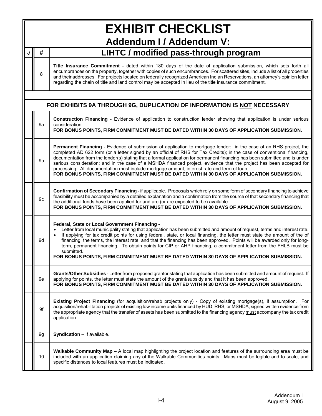| <b>EXHIBIT CHECKLIST</b>        |                                                                                                                                                                                                                                                                                                                                                                                                                                                                                                                                                                                                                                                                                                 |  |  |
|---------------------------------|-------------------------------------------------------------------------------------------------------------------------------------------------------------------------------------------------------------------------------------------------------------------------------------------------------------------------------------------------------------------------------------------------------------------------------------------------------------------------------------------------------------------------------------------------------------------------------------------------------------------------------------------------------------------------------------------------|--|--|
| <b>Addendum I / Addendum V:</b> |                                                                                                                                                                                                                                                                                                                                                                                                                                                                                                                                                                                                                                                                                                 |  |  |
| #                               | LIHTC / modified pass-through program                                                                                                                                                                                                                                                                                                                                                                                                                                                                                                                                                                                                                                                           |  |  |
| 8                               | Title Insurance Commitment - dated within 180 days of the date of application submission, which sets forth all<br>encumbrances on the property, together with copies of such encumbrances. For scattered sites, include a list of all properties<br>and their addresses. For projects located on federally recognized American Indian Reservations, an attorney's opinion letter<br>regarding the chain of title and land control may be accepted in lieu of the title insurance commitment.                                                                                                                                                                                                    |  |  |
|                                 | FOR EXHIBITS 9A THROUGH 9G, DUPLICATION OF INFORMATION IS NOT NECESSARY                                                                                                                                                                                                                                                                                                                                                                                                                                                                                                                                                                                                                         |  |  |
| 9а                              | Construction Financing - Evidence of application to construction lender showing that application is under serious<br>consideration.<br>FOR BONUS POINTS, FIRM COMMITMENT MUST BE DATED WITHIN 30 DAYS OF APPLICATION SUBMISSION.                                                                                                                                                                                                                                                                                                                                                                                                                                                                |  |  |
| 9b                              | Permanent Financing - Evidence of submission of application to mortgage lender: in the case of an RHS project, the<br>completed AD 622 form (or a letter signed by an official of RHS for Tax Credits); in the case of conventional financing,<br>documentation from the lender(s) stating that a formal application for permanent financing has been submitted and is under<br>serious consideration; and in the case of a MSHDA financed project, evidence that the project has been accepted for<br>processing. All documentation must include mortgage amount, interest rate and term of loan.<br>FOR BONUS POINTS, FIRM COMMITMENT MUST BE DATED WITHIN 30 DAYS OF APPLICATION SUBMISSION. |  |  |
| 9c                              | Confirmation of Secondary Financing - if applicable. Proposals which rely on some form of secondary financing to achieve<br>feasibility must be accompanied by a detailed explanation and a confirmation from the source of that secondary financing that<br>the additional funds have been applied for and are (or are expected to be) available.<br>FOR BONUS POINTS, FIRM COMMITMENT MUST BE DATED WITHIN 30 DAYS OF APPLICATION SUBMISSION.                                                                                                                                                                                                                                                 |  |  |
| 9d                              | Federal, State or Local Government Financing -<br>Letter from local municipality stating that application has been submitted and amount of request, terms and interest rate.<br>If applying for tax credit points for using federal, state, or local financing, the letter must state the amount of the of<br>$\bullet$<br>financing, the terms, the interest rate, and that the financing has been approved. Points will be awarded only for long-<br>term, permanent financing. To obtain points for CIP or AHP financing, a commitment letter from the FHLB must be<br>submitted.<br>FOR BONUS POINTS, FIRM COMMITMENT MUST BE DATED WITHIN 30 DAYS OF APPLICATION SUBMISSION.               |  |  |
| 9е                              | Grants/Other Subsidies - Letter from proposed grantor stating that application has been submitted and amount of request. If<br>applying for points, the letter must state the amount of the grant/subsidy and that it has been approved.<br>FOR BONUS POINTS, FIRM COMMITMENT MUST BE DATED WITHIN 30 DAYS OF APPLICATION SUBMISSION.                                                                                                                                                                                                                                                                                                                                                           |  |  |
| 9f                              | Existing Project Financing (for acquisition/rehab projects only) - Copy of existing mortgage(s), if assumption. For<br>acquisition/rehabilitation projects of existing low income units financed by HUD, RHS, or MSHDA, signed written evidence from<br>the appropriate agency that the transfer of assets has been submitted to the financing agency must accompany the tax credit<br>application.                                                                                                                                                                                                                                                                                             |  |  |
| 9g                              | Syndication - If available.                                                                                                                                                                                                                                                                                                                                                                                                                                                                                                                                                                                                                                                                     |  |  |
| 10                              | Walkable Community Map - A local map highlighting the project location and features of the surrounding area must be<br>included with an application claiming any of the Walkable Communities points. Maps must be legible and to scale, and<br>specific distances to local features must be indicated.                                                                                                                                                                                                                                                                                                                                                                                          |  |  |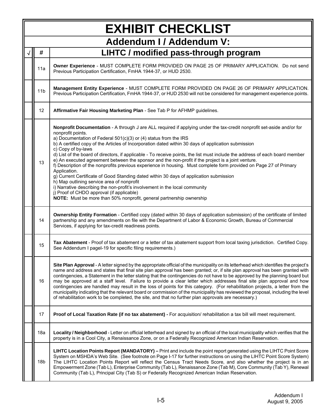|                 | <b>EXHIBIT CHECKLIST</b>                                                                                                                                                                                                                                                                                                                                                                                                                                                                                                                                                                                                                                                                                                                                                                                                                                                                                                                                                                                                                                             |
|-----------------|----------------------------------------------------------------------------------------------------------------------------------------------------------------------------------------------------------------------------------------------------------------------------------------------------------------------------------------------------------------------------------------------------------------------------------------------------------------------------------------------------------------------------------------------------------------------------------------------------------------------------------------------------------------------------------------------------------------------------------------------------------------------------------------------------------------------------------------------------------------------------------------------------------------------------------------------------------------------------------------------------------------------------------------------------------------------|
|                 | <b>Addendum I / Addendum V:</b>                                                                                                                                                                                                                                                                                                                                                                                                                                                                                                                                                                                                                                                                                                                                                                                                                                                                                                                                                                                                                                      |
| #               | LIHTC / modified pass-through program                                                                                                                                                                                                                                                                                                                                                                                                                                                                                                                                                                                                                                                                                                                                                                                                                                                                                                                                                                                                                                |
| 11a             | Owner Experience - MUST COMPLETE FORM PROVIDED ON PAGE 25 OF PRIMARY APPLICATION. Do not send<br>Previous Participation Certification, FmHA 1944-37, or HUD 2530.                                                                                                                                                                                                                                                                                                                                                                                                                                                                                                                                                                                                                                                                                                                                                                                                                                                                                                    |
| 11 <sub>b</sub> | Management Entity Experience - MUST COMPLETE FORM PROVIDED ON PAGE 26 OF PRIMARY APPLICATION.<br>Previous Participation Certification, FmHA 1944-37, or HUD 2530 will not be considered for management experience points.                                                                                                                                                                                                                                                                                                                                                                                                                                                                                                                                                                                                                                                                                                                                                                                                                                            |
| 12              | Affirmative Fair Housing Marketing Plan - See Tab P for AFHMP guidelines.                                                                                                                                                                                                                                                                                                                                                                                                                                                                                                                                                                                                                                                                                                                                                                                                                                                                                                                                                                                            |
| 13              | Nonprofit Documentation - A through J are ALL required if applying under the tax-credit nonprofit set-aside and/or for<br>nonprofit points.<br>a) Documentation of Federal 501(c)(3) or (4) status from the IRS<br>b) A certified copy of the Articles of Incorporation dated within 30 days of application submission<br>c) Copy of by-laws<br>d) List of the board of directors, if applicable - To receive points, the list must include the address of each board member<br>e) An executed agreement between the sponsor and the non-profit if the project is a joint venture.<br>f) Description of the nonprofits previous experience in housing. Must complete form provided on Page 27 of Primary<br>Application.<br>g) Current Certificate of Good Standing dated within 30 days of application submission<br>h) Map outlining service area of nonprofit<br>i) Narrative describing the non-profit's involvement in the local community<br>j) Proof of CHDO approval (if applicable)<br>NOTE: Must be more than 50% nonprofit, general partnership ownership |
| 14              | Ownership Entity Formation - Certified copy (dated within 30 days of application submission) of the certificate of limited<br>partnership and any amendments on file with the Department of Labor & Economic Growth, Bureau of Commercial<br>Services, if applying for tax-credit readiness points.                                                                                                                                                                                                                                                                                                                                                                                                                                                                                                                                                                                                                                                                                                                                                                  |
| 15              | Tax Abatement - Proof of tax abatement or a letter of tax abatement support from local taxing jurisdiction. Certified Copy.<br>See Addendum I pagel-19 for specific filing requirements.)                                                                                                                                                                                                                                                                                                                                                                                                                                                                                                                                                                                                                                                                                                                                                                                                                                                                            |
| 16              | Site Plan Approval - A letter signed by the appropriate official of the municipality on its letterhead which identifies the project's<br>name and address and states that final site plan approval has been granted; or, if site plan approval has been granted with<br>contingencies, a Statement in the letter stating that the contingencies do not have to be approved by the planning board but<br>may be approved at a staff level. Failure to provide a clear letter which addresses final site plan approval and how<br>contingencies are handled may result in the loss of points for this category. (For rehabilitation projects, a letter from the<br>municipality indicating that the relevant board or commission of the municipality has reviewed the proposal, including the level<br>of rehabilitation work to be completed, the site, and that no further plan approvals are necessary.)                                                                                                                                                            |
| 17              | Proof of Local Taxation Rate (if no tax abatement) - For acquisition/ rehabilitation a tax bill will meet requirement.                                                                                                                                                                                                                                                                                                                                                                                                                                                                                                                                                                                                                                                                                                                                                                                                                                                                                                                                               |
| 18a             | Locality / Neighborhood - Letter on official letterhead and signed by an official of the local municipality which verifies that the<br>property is in a Cool City, a Renaissance Zone, or on a Federally Recognized American Indian Reservation.                                                                                                                                                                                                                                                                                                                                                                                                                                                                                                                                                                                                                                                                                                                                                                                                                     |
| 18b             | LIHTC Location Points Report (MANDATORY) - Print and include the point report generated using the LIHTC Point Score<br>System on MSHDA's Web Site. (See footnote on Page I-17 for further instructions on using the LIHTC Point Score System)<br>The LIHTC Location Points Report will reflect the Census Tract Needs Score, and also whether the project is in an<br>Empowerment Zone (Tab L), Enterprise Community (Tab L), Renaissance Zone (Tab M), Core Community (Tab Y), Renewal<br>Community (Tab L), Principal City (Tab S) or Federally Recognized American Indian Reservation.                                                                                                                                                                                                                                                                                                                                                                                                                                                                            |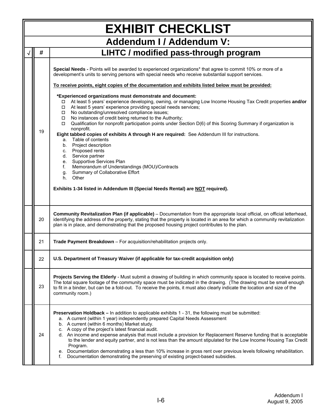| <b>EXHIBIT CHECKLIST</b> |                                                                                                                                                                                                                                                                                                                                                                                                                                                                                                                                                                                                                                                                                                                                                                                                                                                                                                                                                                                                                                                                                                                                                                                                                                                                                               |  |  |  |
|--------------------------|-----------------------------------------------------------------------------------------------------------------------------------------------------------------------------------------------------------------------------------------------------------------------------------------------------------------------------------------------------------------------------------------------------------------------------------------------------------------------------------------------------------------------------------------------------------------------------------------------------------------------------------------------------------------------------------------------------------------------------------------------------------------------------------------------------------------------------------------------------------------------------------------------------------------------------------------------------------------------------------------------------------------------------------------------------------------------------------------------------------------------------------------------------------------------------------------------------------------------------------------------------------------------------------------------|--|--|--|
| Addendum I / Addendum V: |                                                                                                                                                                                                                                                                                                                                                                                                                                                                                                                                                                                                                                                                                                                                                                                                                                                                                                                                                                                                                                                                                                                                                                                                                                                                                               |  |  |  |
| #                        | LIHTC / modified pass-through program                                                                                                                                                                                                                                                                                                                                                                                                                                                                                                                                                                                                                                                                                                                                                                                                                                                                                                                                                                                                                                                                                                                                                                                                                                                         |  |  |  |
| 19                       | Special Needs - Points will be awarded to experienced organizations* that agree to commit 10% or more of a<br>development's units to serving persons with special needs who receive substantial support services.<br>To receive points, eight copies of the documentation and exhibits listed below must be provided:<br>*Experienced organizations must demonstrate and document:<br>At least 5 years' experience developing, owning, or managing Low Income Housing Tax Credit properties and/or<br>$\Box$<br>At least 5 years' experience providing special needs services;<br>$\Box$<br>No outstanding/unresolved compliance issues;<br>$\Box$<br>No instances of credit being returned to the Authority;<br>$\Box$<br>Qualification for nonprofit participation points under Section D(6) of this Scoring Summary if organization is<br>$\Box$<br>nonprofit.<br>Eight tabbed copies of exhibits A through H are required: See Addendum III for instructions.<br>a. Table of contents<br>b. Project description<br>c. Proposed rents<br>d. Service partner<br>e. Supportive Services Plan<br>Memorandum of Understandings (MOU)/Contracts<br>f.<br>Summary of Collaborative Effort<br>g.<br>Other<br>h.<br>Exhibits 1-34 listed in Addendum III (Special Needs Rental) are NOT required). |  |  |  |
| 20                       | Community Revitalization Plan (if applicable) – Documentation from the appropriate local official, on official letterhead,<br>identifying the address of the property, stating that the property is located in an area for which a community revitalization<br>plan is in place, and demonstrating that the proposed housing project contributes to the plan.                                                                                                                                                                                                                                                                                                                                                                                                                                                                                                                                                                                                                                                                                                                                                                                                                                                                                                                                 |  |  |  |
| 21                       | Trade Payment Breakdown - For acquisition/rehabilitation projects only.                                                                                                                                                                                                                                                                                                                                                                                                                                                                                                                                                                                                                                                                                                                                                                                                                                                                                                                                                                                                                                                                                                                                                                                                                       |  |  |  |
| 22                       | U.S. Department of Treasury Waiver (if applicable for tax-credit acquisition only)                                                                                                                                                                                                                                                                                                                                                                                                                                                                                                                                                                                                                                                                                                                                                                                                                                                                                                                                                                                                                                                                                                                                                                                                            |  |  |  |
| 23                       | Projects Serving the Elderly - Must submit a drawing of building in which community space is located to receive points.<br>The total square footage of the community space must be indicated in the drawing. (The drawing must be small enough<br>to fit in a binder, but can be a fold-out. To receive the points, it must also clearly indicate the location and size of the<br>community room.)                                                                                                                                                                                                                                                                                                                                                                                                                                                                                                                                                                                                                                                                                                                                                                                                                                                                                            |  |  |  |
| 24                       | Preservation Holdback - In addition to applicable exhibits 1 - 31, the following must be submitted:<br>a. A current (within 1 year) independently prepared Capital Needs Assessment<br>b. A current (within 6 months) Market study.<br>c. A copy of the project's latest financial audit.<br>d. An income and expense analysis that must include a provision for Replacement Reserve funding that is acceptable<br>to the lender and equity partner, and is not less than the amount stipulated for the Low Income Housing Tax Credit<br>Program.<br>e. Documentation demonstrating a less than 10% increase in gross rent over previous levels following rehabilitation.<br>Documentation demonstrating the preserving of existing project-based subsidies.<br>f.                                                                                                                                                                                                                                                                                                                                                                                                                                                                                                                            |  |  |  |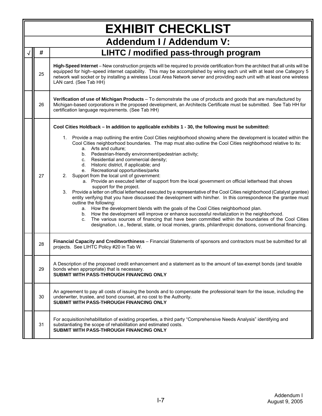| <b>EXHIBIT CHECKLIST</b>        |                                                                                                                                                                                                                                                                                                                                                                                                                                                                                                                                                                                                                                                                                                                                                                                                                                                                                                                                                                                                                                                                                                                                                                                                                                                                                                                                         |  |  |  |
|---------------------------------|-----------------------------------------------------------------------------------------------------------------------------------------------------------------------------------------------------------------------------------------------------------------------------------------------------------------------------------------------------------------------------------------------------------------------------------------------------------------------------------------------------------------------------------------------------------------------------------------------------------------------------------------------------------------------------------------------------------------------------------------------------------------------------------------------------------------------------------------------------------------------------------------------------------------------------------------------------------------------------------------------------------------------------------------------------------------------------------------------------------------------------------------------------------------------------------------------------------------------------------------------------------------------------------------------------------------------------------------|--|--|--|
| <b>Addendum I / Addendum V:</b> |                                                                                                                                                                                                                                                                                                                                                                                                                                                                                                                                                                                                                                                                                                                                                                                                                                                                                                                                                                                                                                                                                                                                                                                                                                                                                                                                         |  |  |  |
| #                               | LIHTC / modified pass-through program                                                                                                                                                                                                                                                                                                                                                                                                                                                                                                                                                                                                                                                                                                                                                                                                                                                                                                                                                                                                                                                                                                                                                                                                                                                                                                   |  |  |  |
| 25                              | High-Speed Internet - New construction projects will be required to provide certification from the architect that all units will be<br>equipped for high-speed internet capability. This may be accomplished by wiring each unit with at least one Category 5<br>network wall socket or by installing a wireless Local Area Network server and providing each unit with at least one wireless<br>LAN card. (See Tab HH)                                                                                                                                                                                                                                                                                                                                                                                                                                                                                                                                                                                                                                                                                                                                                                                                                                                                                                                 |  |  |  |
| 26                              | Verification of use of Michigan Products - To demonstrate the use of products and goods that are manufactured by<br>Michigan-based corporations in the proposed development, an Architects Certificate must be submitted. See Tab HH for<br>certification language requirements. (See Tab HH)                                                                                                                                                                                                                                                                                                                                                                                                                                                                                                                                                                                                                                                                                                                                                                                                                                                                                                                                                                                                                                           |  |  |  |
|                                 | Cool Cities Holdback - In addition to applicable exhibits 1 - 30, the following must be submitted:                                                                                                                                                                                                                                                                                                                                                                                                                                                                                                                                                                                                                                                                                                                                                                                                                                                                                                                                                                                                                                                                                                                                                                                                                                      |  |  |  |
| 27                              | 1. Provide a map outlining the entire Cool Cities neighborhood showing where the development is located within the<br>Cool Cities neighborhood boundaries. The map must also outline the Cool Cities neighborhood relative to its:<br>a. Arts and culture:<br>b. Pedestrian-friendly environment/pedestrian activity;<br>c. Residential and commercial density;<br>d. Historic district, if applicable; and<br>e. Recreational opportunities/parks<br>2. Support from the local unit of government:<br>a. Provide an executed letter of support from the local government on official letterhead that shows<br>support for the project.<br>Provide a letter on official letterhead executed by a representative of the Cool Cities neighborhood (Catalyst grantee)<br>3.<br>entity verifying that you have discussed the development with him/her. In this correspondence the grantee must<br>outline the following:<br>a. How the development blends with the goals of the Cool Cities neighborhood plan.<br>b. How the development will improve or enhance successful revitalization in the neighborhood.<br>The various sources of financing that have been committed within the boundaries of the Cool Cities<br>C.<br>designation, i.e., federal, state, or local monies, grants, philanthropic donations, conventional financing. |  |  |  |
| 28                              | Financial Capacity and Creditworthiness - Financial Statements of sponsors and contractors must be submitted for all<br>projects. See LIHTC Policy #20 in Tab W.                                                                                                                                                                                                                                                                                                                                                                                                                                                                                                                                                                                                                                                                                                                                                                                                                                                                                                                                                                                                                                                                                                                                                                        |  |  |  |
| 29                              | A Description of the proposed credit enhancement and a statement as to the amount of tax-exempt bonds (and taxable<br>bonds when appropriate) that is necessary.<br>SUBMIT WITH PASS-THROUGH FINANCING ONLY                                                                                                                                                                                                                                                                                                                                                                                                                                                                                                                                                                                                                                                                                                                                                                                                                                                                                                                                                                                                                                                                                                                             |  |  |  |
| 30                              | An agreement to pay all costs of issuing the bonds and to compensate the professional team for the issue, including the<br>underwriter, trustee, and bond counsel, at no cost to the Authority.<br>SUBMIT WITH PASS-THROUGH FINANCING ONLY                                                                                                                                                                                                                                                                                                                                                                                                                                                                                                                                                                                                                                                                                                                                                                                                                                                                                                                                                                                                                                                                                              |  |  |  |
| 31                              | For acquisition/rehabilitation of existing properties, a third party "Comprehensive Needs Analysis" identifying and<br>substantiating the scope of rehabilitation and estimated costs.<br>SUBMIT WITH PASS-THROUGH FINANCING ONLY                                                                                                                                                                                                                                                                                                                                                                                                                                                                                                                                                                                                                                                                                                                                                                                                                                                                                                                                                                                                                                                                                                       |  |  |  |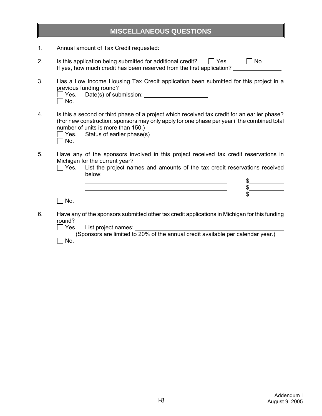## **MISCELLANEOUS QUESTIONS**

- 1. Annual amount of Tax Credit requested:
- 2. Is this application being submitted for additional credit?  $\Box$  Yes  $\Box$  No If yes, how much credit has been reserved from the first application? \_\_\_\_\_\_\_\_\_\_\_
- 3. Has a Low Income Housing Tax Credit application been submitted for this project in a previous funding round? Yes. Date(s) of submission: \_\_\_\_\_\_\_\_\_\_\_\_\_\_\_

| l No. |  |
|-------|--|
|       |  |

4. Is this a second or third phase of a project which received tax credit for an earlier phase? (For new construction, sponsors may only apply for one phase per year if the combined total number of units is more than 150.)

|            | $\Box$ Yes. Status of earlier phase(s) |
|------------|----------------------------------------|
| $\Box$ No. |                                        |

- 5. Have any of the sponsors involved in this project received tax credit reservations in Michigan for the current year?
	- $\Box$  Yes. List the project names and amounts of the tax credit reservations received below:

 $\bullet$ 

 \$ \$

 $\Box$  No.

6. Have any of the sponsors submitted other tax credit applications in Michigan for this funding round?<br>□ Yes.

List project names:

 (Sponsors are limited to 20% of the annual credit available per calendar year.)  $\Box$  No.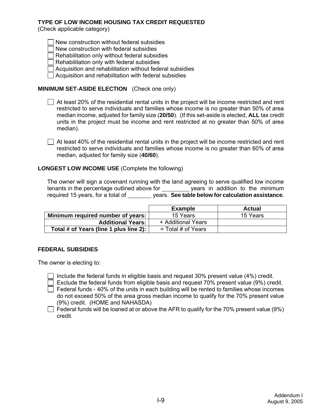#### **TYPE OF LOW INCOME HOUSING TAX CREDIT REQUESTED**

(Check applicable category)

New construction without federal subsidies

New construction with federal subsidies

Rehabilitation only without federal subsidies

- $\Box$  Rehabilitation only with federal subsidies
- Acquisition and rehabilitation without federal subsidies
- $\Box$  Acquisition and rehabilitation with federal subsidies

### **MINIMUM SET-ASIDE ELECTION** (Check one only)

- $\Box$  At least 20% of the residential rental units in the project will be income restricted and rent restricted to serve individuals and families whose income is no greater than 50% of area median income, adjusted for family size (**20/50**). (If this set-aside is elected, **ALL** tax credit units in the project must be income and rent restricted at no greater than 50% of area median).
- $\Box$  At least 40% of the residential rental units in the project will be income restricted and rent restricted to serve individuals and families whose income is no greater than 60% of area median, adjusted for family size (**40/60**).

#### **LONGEST LOW INCOME USE** (Complete the following)

The owner will sign a covenant running with the land agreeing to serve qualified low income tenants in the percentage outlined above for years in addition to the minimum required 15 years, for a total of years. **See table below for calculation assistance.**

|                                        | <b>Example</b>       | Actual   |
|----------------------------------------|----------------------|----------|
| Minimum required number of years:      | 15 Years             | 15 Years |
| <b>Additional Years:</b>               | + Additional Years   |          |
| Total # of Years (line 1 plus line 2): | $=$ Total # of Years |          |

#### **FEDERAL SUBSIDIES**

The owner is electing to:

Include the federal funds in eligible basis and request 30% present value (4%) credit.

Exclude the federal funds from eligible basis and request 70% present value (9%) credit.

 $\Box$  Federal funds - 40% of the units in each building will be rented to families whose incomes do not exceed 50% of the area gross median income to qualify for the 70% present value (9%) credit. (HOME and NAHASDA)

 $\Box$  Federal funds will be loaned at or above the AFR to qualify for the 70% present value (9%) credit.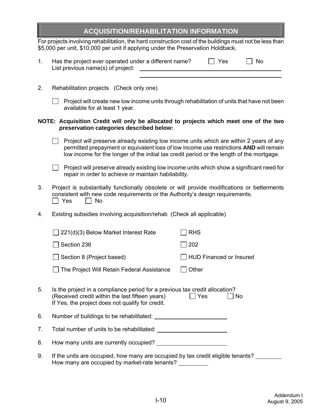| <b>ACQUISITION/REHABILITATION INFORMATION</b> |  |
|-----------------------------------------------|--|
|-----------------------------------------------|--|

For projects involving rehabilitation, the hard construction cost of the buildings must not be less than \$5,000 per unit, \$10,000 per unit if applying under the Preservation Holdback.

| Has the project ever operated under a different name? | l l Yes | $\Box$ No |  |
|-------------------------------------------------------|---------|-----------|--|
| List previous name(s) of project:                     |         |           |  |

2. Rehabilitation projects (Check only one)

| $\Box$ Project will create new low income units through rehabilitation of units that have not been |  |
|----------------------------------------------------------------------------------------------------|--|
| available for at least 1 year.                                                                     |  |

#### **NOTE: Acquisition Credit will only be allocated to projects which meet one of the two preservation categories described below:**

- $\Box$  Project will preserve already existing low income units which are within 2 years of any permitted prepayment or equivalent loss of low income use restrictions **AND** will remain low income for the longer of the initial tax credit period or the length of the mortgage.
- $\Box$  Project will preserve already existing low income units which show a significant need for repair in order to achieve or maintain habitability.
- 3. Project is substantially functionally obsolete or will provide modifications or betterments consistent with new code requirements or the Authority's design requirements.  $\Box$  Yes  $\Box$  No
- 4. Existing subsidies involving acquisition/rehab (Check all applicable)

|    | 221(d)(3) Below Market Interest Rate                                                                                                                                               | <b>RHS</b>                     |
|----|------------------------------------------------------------------------------------------------------------------------------------------------------------------------------------|--------------------------------|
|    | Section 236                                                                                                                                                                        | 202                            |
|    | Section 8 (Project based)                                                                                                                                                          | <b>HUD Financed or Insured</b> |
|    | The Project Will Retain Federal Assistance                                                                                                                                         | Other                          |
| 5. | Is the project in a compliance period for a previous tax credit allocation?<br>(Received credit within the last fifteen years)<br>If Yes, the project does not qualify for credit. | Yes<br>No                      |
| 6. | Number of buildings to be rehabilitated:                                                                                                                                           |                                |
| 7. |                                                                                                                                                                                    |                                |
| 8. | How many units are currently occupied?                                                                                                                                             |                                |
| 9. | If the units are occupied, how many are occupied by tax credit eligible tenants?<br>How many are occupied by market-rate tenants?                                                  |                                |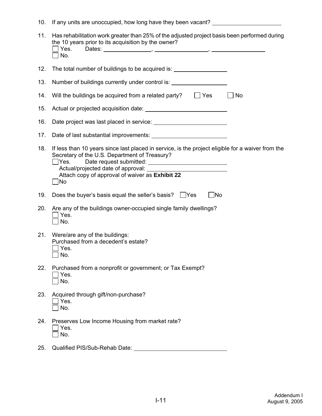10. If any units are unoccupied, how long have they been vacant?

| 11. | Has rehabilitation work greater than 25% of the adjusted project basis been performed during<br>the 10 years prior to its acquisition by the owner?<br>Yes.<br>Dates: $\qquad \qquad \qquad$<br>No.                                                                         |    |
|-----|-----------------------------------------------------------------------------------------------------------------------------------------------------------------------------------------------------------------------------------------------------------------------------|----|
| 12. | The total number of buildings to be acquired is:                                                                                                                                                                                                                            |    |
| 13. | Number of buildings currently under control is: ________________________________                                                                                                                                                                                            |    |
| 14. | $\Box$ Yes<br>Will the buildings be acquired from a related party?                                                                                                                                                                                                          | No |
| 15. |                                                                                                                                                                                                                                                                             |    |
| 16. |                                                                                                                                                                                                                                                                             |    |
| 17. | Date of last substantial improvements:                                                                                                                                                                                                                                      |    |
| 18. | If less than 10 years since last placed in service, is the project eligible for a waiver from the<br>Secretary of the U.S. Department of Treasury?<br>Yes.<br>Actual/projected date of approval: __________<br>Attach copy of approval of waiver as Exhibit 22<br>$\Box$ No |    |
| 19. | Does the buyer's basis equal the seller's basis? Yes<br>$\exists$ No                                                                                                                                                                                                        |    |
| 20. | Are any of the buildings owner-occupied single family dwellings?<br>Yes.<br>No.                                                                                                                                                                                             |    |
| 21. | Were/are any of the buildings:<br>Purchased from a decedent's estate?<br>Yes.<br>No.                                                                                                                                                                                        |    |
| 22. | Purchased from a nonprofit or government; or Tax Exempt?<br>Yes.<br>No.                                                                                                                                                                                                     |    |
| 23. | Acquired through gift/non-purchase?<br>Yes.<br>No.                                                                                                                                                                                                                          |    |
| 24. | Preserves Low Income Housing from market rate?<br>Yes.<br>No.                                                                                                                                                                                                               |    |
| 25. | Qualified PIS/Sub-Rehab Date:                                                                                                                                                                                                                                               |    |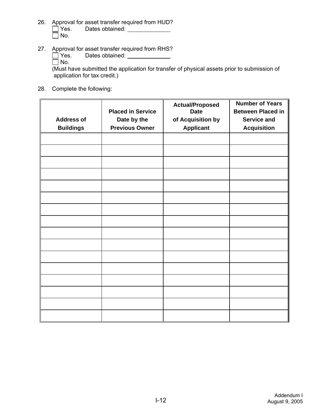- 26. Approval for asset transfer required from HUD? □ Yes. Dates obtained: <u>Netall Alexander</u>  $\overline{\Box}$  No.
- 27. Approval for asset transfer required from RHS?
	- Dates obtained: <u>New York Container</u>  $\Box$  Yes.<br> $\Box$  No.

(Must have submitted the application for transfer of physical assets prior to submission of application for tax credit.)

28. Complete the following:

|                   | <b>Placed in Service</b> | <b>Actual/Proposed</b><br><b>Date</b> | <b>Number of Years</b><br><b>Between Placed in</b> |
|-------------------|--------------------------|---------------------------------------|----------------------------------------------------|
| <b>Address of</b> | Date by the              | of Acquisition by                     | <b>Service and</b>                                 |
| <b>Buildings</b>  | <b>Previous Owner</b>    | <b>Applicant</b>                      | <b>Acquisition</b>                                 |
|                   |                          |                                       |                                                    |
|                   |                          |                                       |                                                    |
|                   |                          |                                       |                                                    |
|                   |                          |                                       |                                                    |
|                   |                          |                                       |                                                    |
|                   |                          |                                       |                                                    |
|                   |                          |                                       |                                                    |
|                   |                          |                                       |                                                    |
|                   |                          |                                       |                                                    |
|                   |                          |                                       |                                                    |
|                   |                          |                                       |                                                    |
|                   |                          |                                       |                                                    |
|                   |                          |                                       |                                                    |
|                   |                          |                                       |                                                    |
|                   |                          |                                       |                                                    |
|                   |                          |                                       |                                                    |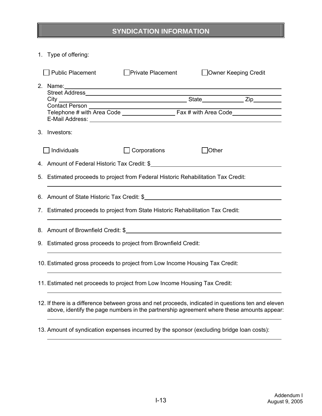# **SYNDICATION INFORMATION**

1. Type of offering:

| <b>Public Placement</b>                                                                                                        | <b>Private Placement</b> | Owner Keeping Credit |  |
|--------------------------------------------------------------------------------------------------------------------------------|--------------------------|----------------------|--|
|                                                                                                                                |                          |                      |  |
| E-Mail Address: New York Street, New York Street, New York Street, New York Street, New York Street, New York<br>3. Investors: |                          |                      |  |
| $\Box$ Individuals                                                                                                             | Corporations             | Other                |  |
|                                                                                                                                |                          |                      |  |
| 5. Estimated proceeds to project from Federal Historic Rehabilitation Tax Credit:                                              |                          |                      |  |
|                                                                                                                                |                          |                      |  |
| 7. Estimated proceeds to project from State Historic Rehabilitation Tax Credit:                                                |                          |                      |  |
| 8. Amount of Brownfield Credit: \$                                                                                             |                          |                      |  |
| 9. Estimated gross proceeds to project from Brownfield Credit:                                                                 |                          |                      |  |
| 10. Estimated gross proceeds to project from Low Income Housing Tax Credit:                                                    |                          |                      |  |
| 11. Estimated net proceeds to project from Low Income Housing Tax Credit:                                                      |                          |                      |  |
| 12. If there is a difference between gross and net proceeds, indicated in questions ten and eleven                             |                          |                      |  |

- above, identify the page numbers in the partnership agreement where these amounts appear:
- 13. Amount of syndication expenses incurred by the sponsor (excluding bridge loan costs):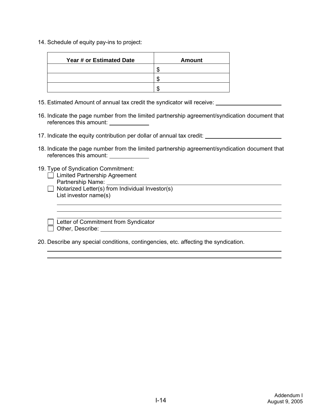14. Schedule of equity pay-ins to project:

| Year # or Estimated Date | Amount |
|--------------------------|--------|
|                          |        |
|                          |        |
|                          |        |

- 15. Estimated Amount of annual tax credit the syndicator will receive:
- 16. Indicate the page number from the limited partnership agreement/syndication document that references this amount:
- 17. Indicate the equity contribution per dollar of annual tax credit:
- 18. Indicate the page number from the limited partnership agreement/syndication document that references this amount:
- 19. Type of Syndication Commitment:
	- □ Limited Partnership Agreement Partnership Name: Universe
	- $\Box$  Notarized Letter(s) from Individual Investor(s) List investor name(s)

| Letter of Commitment from Syndicator |  |
|--------------------------------------|--|
| Other, Describe:                     |  |

20. Describe any special conditions, contingencies, etc. affecting the syndication.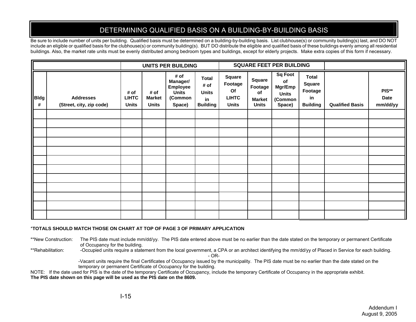# DETERMINING QUALIFIED BASIS ON A BUILDING-BY-BUILDING BASIS

Be sure to include number of units per building. Qualified basis must be determined on a building-by-building basis. List clubhouse(s) or community building(s) last, and DO NOT include an eligible or qualified basis for the clubhouse(s) or community building(s). BUT DO distribute the eligible and qualified basis of these buildings evenly among all residential buildings. Also, the market rate units must be evenly distributed among bedroom types and buildings, except for elderly projects. Make extra copies of this form if necessary.

|                  |                                              |                                      |                                       | <b>UNITS PER BUILDING</b>                                         |                                                               | <b>SQUARE FEET PER BUILDING</b>                         |                                                                 |                                                                      |                                                            |                        |                           |
|------------------|----------------------------------------------|--------------------------------------|---------------------------------------|-------------------------------------------------------------------|---------------------------------------------------------------|---------------------------------------------------------|-----------------------------------------------------------------|----------------------------------------------------------------------|------------------------------------------------------------|------------------------|---------------------------|
| <b>Bldg</b><br># | <b>Addresses</b><br>(Street, city, zip code) | # of<br><b>LIHTC</b><br><b>Units</b> | # of<br><b>Market</b><br><b>Units</b> | # of<br>Manager/<br><b>Employee</b><br>Units<br>(Common<br>Space) | <b>Total</b><br># of<br><b>Units</b><br>in<br><b>Building</b> | Square<br>Footage<br>Of<br><b>LIHTC</b><br><b>Units</b> | <b>Square</b><br>Footage<br>of<br><b>Market</b><br><b>Units</b> | <b>Sq Foot</b><br>of<br>Mgr/Emp<br><b>Units</b><br>(Common<br>Space) | <b>Total</b><br>Square<br>Footage<br>in<br><b>Building</b> | <b>Qualified Basis</b> | PIS**<br>Date<br>mm/dd/yy |
|                  |                                              |                                      |                                       |                                                                   |                                                               |                                                         |                                                                 |                                                                      |                                                            |                        |                           |
|                  |                                              |                                      |                                       |                                                                   |                                                               |                                                         |                                                                 |                                                                      |                                                            |                        |                           |
|                  |                                              |                                      |                                       |                                                                   |                                                               |                                                         |                                                                 |                                                                      |                                                            |                        |                           |
|                  |                                              |                                      |                                       |                                                                   |                                                               |                                                         |                                                                 |                                                                      |                                                            |                        |                           |
|                  |                                              |                                      |                                       |                                                                   |                                                               |                                                         |                                                                 |                                                                      |                                                            |                        |                           |
|                  |                                              |                                      |                                       |                                                                   |                                                               |                                                         |                                                                 |                                                                      |                                                            |                        |                           |
|                  |                                              |                                      |                                       |                                                                   |                                                               |                                                         |                                                                 |                                                                      |                                                            |                        |                           |
|                  |                                              |                                      |                                       |                                                                   |                                                               |                                                         |                                                                 |                                                                      |                                                            |                        |                           |
|                  |                                              |                                      |                                       |                                                                   |                                                               |                                                         |                                                                 |                                                                      |                                                            |                        |                           |
|                  |                                              |                                      |                                       |                                                                   |                                                               |                                                         |                                                                 |                                                                      |                                                            |                        |                           |
|                  |                                              |                                      |                                       |                                                                   |                                                               |                                                         |                                                                 |                                                                      |                                                            |                        |                           |
|                  |                                              |                                      |                                       |                                                                   |                                                               |                                                         |                                                                 |                                                                      |                                                            |                        |                           |

#### \***TOTALS SHOULD MATCH THOSE ON CHART AT TOP OF PAGE 3 OF PRIMARY APPLICATION**

\*\*New Construction: The PIS date must include mm/dd/yy. The PIS date entered above must be no earlier than the date stated on the temporary or permanent Certificate of Occupancy for the building.

\*\*Rehabilitation: - Occupied units require a statement from the local government, a CPA or an architect identifying the mm/dd/yy of Placed in Service for each building.

- OR-

-Vacant units require the final Certificates of Occupancy issued by the municipality. The PIS date must be no earlier than the date stated on the temporary or permanent Certificate of Occupancy for the building.

NOTE: If the date used for PIS is the date of the temporary Certificate of Occupancy, include the temporary Certificate of Occupancy in the appropriate exhibit. **The PIS date shown on this page will be used as the PIS date on the 8609.**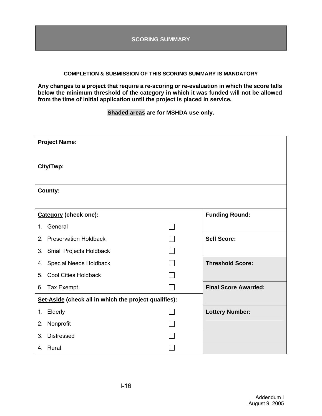#### **COMPLETION & SUBMISSION OF THIS SCORING SUMMARY IS MANDATORY**

**Any changes to a project that require a re-scoring or re-evaluation in which the score falls below the minimum threshold of the category in which it was funded will not be allowed from the time of initial application until the project is placed in service.** 

**Shaded areas are for MSHDA use only.**

| <b>Project Name:</b>                                  |                             |
|-------------------------------------------------------|-----------------------------|
| City/Twp:                                             |                             |
| County:                                               |                             |
| Category (check one):                                 | <b>Funding Round:</b>       |
| General<br>1.                                         |                             |
| <b>Preservation Holdback</b><br>2.                    | <b>Self Score:</b>          |
| <b>Small Projects Holdback</b><br>3.                  |                             |
| <b>Special Needs Holdback</b><br>4.                   | <b>Threshold Score:</b>     |
| <b>Cool Cities Holdback</b><br>5.                     |                             |
| Tax Exempt<br>6.                                      | <b>Final Score Awarded:</b> |
| Set-Aside (check all in which the project qualifies): |                             |
| 1. Elderly                                            | <b>Lottery Number:</b>      |
| Nonprofit<br>2.                                       |                             |
| 3.<br><b>Distressed</b>                               |                             |
| 4. Rural                                              |                             |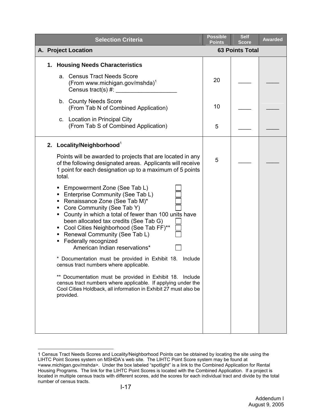| <b>Selection Criteria</b>                                                                                                                                                                                                                                                                                                                                                                | <b>Possible</b><br>Points | <b>Self</b><br>Score   | <b>Awarded</b> |
|------------------------------------------------------------------------------------------------------------------------------------------------------------------------------------------------------------------------------------------------------------------------------------------------------------------------------------------------------------------------------------------|---------------------------|------------------------|----------------|
| A. Project Location                                                                                                                                                                                                                                                                                                                                                                      |                           | <b>63 Points Total</b> |                |
| 1. Housing Needs Characteristics                                                                                                                                                                                                                                                                                                                                                         |                           |                        |                |
| a. Census Tract Needs Score<br>(From www.michigan.gov/mshda) <sup>1</sup><br>Census tract(s) #:<br><u> 1980 - Jan Barat III, martx</u>                                                                                                                                                                                                                                                   | 20                        |                        |                |
| b. County Needs Score<br>(From Tab N of Combined Application)                                                                                                                                                                                                                                                                                                                            | 10                        |                        |                |
| c. Location in Principal City<br>(From Tab S of Combined Application)                                                                                                                                                                                                                                                                                                                    | 5                         |                        |                |
| 2. Locality/Neighborhood <sup>1</sup>                                                                                                                                                                                                                                                                                                                                                    |                           |                        |                |
| Points will be awarded to projects that are located in any<br>of the following designated areas. Applicants will receive<br>1 point for each designation up to a maximum of 5 points<br>total.                                                                                                                                                                                           | 5                         |                        |                |
| • Empowerment Zone (See Tab L)<br><b>Enterprise Community (See Tab L)</b><br>Renaissance Zone (See Tab M)*<br>Core Community (See Tab Y)<br>County in which a total of fewer than 100 units have<br>been allocated tax credits (See Tab G)<br>• Cool Cities Neighborhood (See Tab FF)**<br>• Renewal Community (See Tab L)<br>Federally recognized<br>٠<br>American Indian reservations* |                           |                        |                |
| * Documentation must be provided in Exhibit 18.<br>Include<br>census tract numbers where applicable.                                                                                                                                                                                                                                                                                     |                           |                        |                |
| ** Documentation must be provided in Exhibit 18. Include<br>census tract numbers where applicable. If applying under the<br>Cool Cities Holdback, all information in Exhibit 27 must also be<br>provided.                                                                                                                                                                                |                           |                        |                |
|                                                                                                                                                                                                                                                                                                                                                                                          |                           |                        |                |

<span id="page-17-0"></span> $\overline{a}$ 1 Census Tract Needs Scores and Locality/Neighborhood Points can be obtained by locating the site using the LIHTC Point Scores system on MSHDA's web site. The LIHTC Point Score system may be found at <www.michigan.gov/mshda>. Under the box labeled "spotlight" is a link to the Combined Application for Rental Housing Programs. The link for the LIHTC Point Scores is located with the Combined Application. If a project is located in multiple census tracts with different scores, add the scores for each individual tract and divide by the total number of census tracts.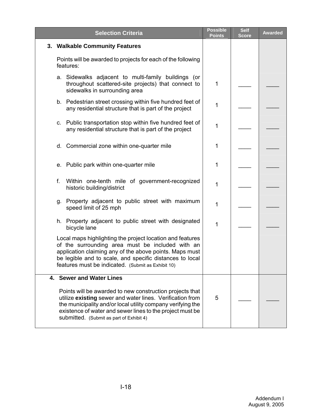| <b>Selection Criteria</b>                                                                                                                                                                                                                                                                     | <b>Possible</b><br><b>Points</b> | <b>Self</b><br><b>Score</b> | <b>Awarded</b> |
|-----------------------------------------------------------------------------------------------------------------------------------------------------------------------------------------------------------------------------------------------------------------------------------------------|----------------------------------|-----------------------------|----------------|
| 3. Walkable Community Features                                                                                                                                                                                                                                                                |                                  |                             |                |
| Points will be awarded to projects for each of the following<br>features:                                                                                                                                                                                                                     |                                  |                             |                |
| a. Sidewalks adjacent to multi-family buildings (or<br>throughout scattered-site projects) that connect to<br>sidewalks in surrounding area                                                                                                                                                   | 1                                |                             |                |
| b. Pedestrian street crossing within five hundred feet of<br>any residential structure that is part of the project                                                                                                                                                                            | 1                                |                             |                |
| c. Public transportation stop within five hundred feet of<br>any residential structure that is part of the project                                                                                                                                                                            | 1                                |                             |                |
| d. Commercial zone within one-quarter mile                                                                                                                                                                                                                                                    | 1                                |                             |                |
| e. Public park within one-quarter mile                                                                                                                                                                                                                                                        | 1                                |                             |                |
| f.<br>Within one-tenth mile of government-recognized<br>historic building/district                                                                                                                                                                                                            | 1                                |                             |                |
| g. Property adjacent to public street with maximum<br>speed limit of 25 mph                                                                                                                                                                                                                   | 1                                |                             |                |
| h. Property adjacent to public street with designated<br>bicycle lane                                                                                                                                                                                                                         | 1                                |                             |                |
| Local maps highlighting the project location and features<br>of the surrounding area must be included with an<br>application claiming any of the above points. Maps must<br>be legible and to scale, and specific distances to local<br>features must be indicated. (Submit as Exhibit 10)    |                                  |                             |                |
| 4. Sewer and Water Lines                                                                                                                                                                                                                                                                      |                                  |                             |                |
| Points will be awarded to new construction projects that<br>utilize existing sewer and water lines. Verification from<br>the municipality and/or local utility company verifying the<br>existence of water and sewer lines to the project must be<br>submitted. (Submit as part of Exhibit 4) | 5                                |                             |                |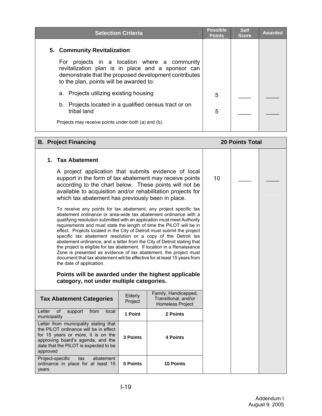| <b>Selection Criteria</b>                                                                                                                                                                                | <b>Possible</b><br><b>Points</b> | <b>Self</b><br><b>Score</b> | <b>Awarded</b> |
|----------------------------------------------------------------------------------------------------------------------------------------------------------------------------------------------------------|----------------------------------|-----------------------------|----------------|
| 5. Community Revitalization                                                                                                                                                                              |                                  |                             |                |
| projects in a location where a community<br>For<br>revitalization plan is in place and a sponsor can<br>demonstrate that the proposed development contributes<br>to the plan, points will be awarded to: |                                  |                             |                |
| a. Projects utilizing existing housing                                                                                                                                                                   | 5                                |                             |                |
| Projects located in a qualified census tract or on<br>b.<br>tribal land                                                                                                                                  | 5                                |                             |                |
| Projects may receive points under both (a) and (b).                                                                                                                                                      |                                  |                             |                |

#### **B. Project Financing 20 Points Total**

### **1. Tax Abatement**

A project application that submits evidence of local support in the form of tax abatement may receive points according to the chart below. These points will not be available to acquisition and/or rehabilitation projects for which tax abatement has previously been in place.

To receive any points for tax abatement, any project specific tax abatement ordinance or area-wide tax abatement ordinance with a qualifying resolution submitted with an application must meet Authority requirements and must state the length of time the PILOT will be in effect. Projects located in the City of Detroit must submit the project specific tax abatement resolution or a copy of the Detroit tax abatement ordinance, and a letter from the City of Detroit stating that the project is eligible for tax abatement. If location in a Renaissance Zone is presented as evidence of tax abatement, the project must document that tax abatement will be effective for at least 15 years from the date of application.

#### **Points will be awarded under the highest applicable category, not under multiple categories.**

| <b>Tax Abatement Categories</b>                                                                                                                                                                                | Elderly<br>Project | Family, Handicapped,<br>Transitional, and/or<br><b>Homeless Project</b> |
|----------------------------------------------------------------------------------------------------------------------------------------------------------------------------------------------------------------|--------------------|-------------------------------------------------------------------------|
| Letter<br>0f<br>local<br>support<br>from<br>municipality                                                                                                                                                       | 1 Point            | 2 Points                                                                |
| Letter from municipality stating that<br>the PILOT ordinance will be in effect<br>for 15 years or more, it is on the<br>approving board's agenda, and the<br>date that the PILOT is expected to be<br>approved | 3 Points           | 4 Points                                                                |
| Project-specific tax<br>abatement<br>ordinance in place for at least 15<br>vears                                                                                                                               | 5 Points           | <b>10 Points</b>                                                        |

10  $\Box$   $\Box$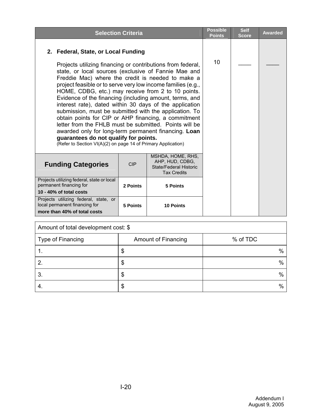|                                                                                                                                                                                                                                                                                                                                                                                                                                                                                                                                                                                                                                                                                                                                                                                                           | <b>Selection Criteria</b>                                                            |                  | <b>Possible</b><br><b>Points</b> | <b>Self</b><br><b>Score</b> | <b>Awarded</b> |
|-----------------------------------------------------------------------------------------------------------------------------------------------------------------------------------------------------------------------------------------------------------------------------------------------------------------------------------------------------------------------------------------------------------------------------------------------------------------------------------------------------------------------------------------------------------------------------------------------------------------------------------------------------------------------------------------------------------------------------------------------------------------------------------------------------------|--------------------------------------------------------------------------------------|------------------|----------------------------------|-----------------------------|----------------|
| 2. Federal, State, or Local Funding<br>Projects utilizing financing or contributions from federal,<br>state, or local sources (exclusive of Fannie Mae and<br>Freddie Mac) where the credit is needed to make a<br>project feasible or to serve very low income families (e.g.,<br>HOME, CDBG, etc.) may receive from 2 to 10 points.<br>Evidence of the financing (including amount, terms, and<br>interest rate), dated within 30 days of the application<br>submission, must be submitted with the application. To<br>obtain points for CIP or AHP financing, a commitment<br>letter from the FHLB must be submitted. Points will be<br>awarded only for long-term permanent financing. Loan<br>guarantees do not qualify for points.<br>(Refer to Section VI(A)(2) on page 14 of Primary Application) |                                                                                      |                  | 10                               |                             |                |
| <b>Funding Categories</b>                                                                                                                                                                                                                                                                                                                                                                                                                                                                                                                                                                                                                                                                                                                                                                                 | MSHDA, HOME, RHS,<br>AHP, HUD, CDBG,<br>State/Federal Historic<br><b>Tax Credits</b> |                  |                                  |                             |                |
| Projects utilizing federal, state or local<br>permanent financing for<br>10 - 40% of total costs                                                                                                                                                                                                                                                                                                                                                                                                                                                                                                                                                                                                                                                                                                          |                                                                                      |                  |                                  |                             |                |
| Projects utilizing federal, state, or<br>local permanent financing for<br>more than 40% of total costs                                                                                                                                                                                                                                                                                                                                                                                                                                                                                                                                                                                                                                                                                                    | 5 Points                                                                             | <b>10 Points</b> |                                  |                             |                |

| Amount of total development cost: \$ |                            |          |  |  |  |  |
|--------------------------------------|----------------------------|----------|--|--|--|--|
| Type of Financing                    | <b>Amount of Financing</b> | % of TDC |  |  |  |  |
|                                      | Φ                          | $\%$     |  |  |  |  |
|                                      | Φ                          | $\%$     |  |  |  |  |
| 3.                                   | Œ                          | $\%$     |  |  |  |  |
|                                      | \$                         | %        |  |  |  |  |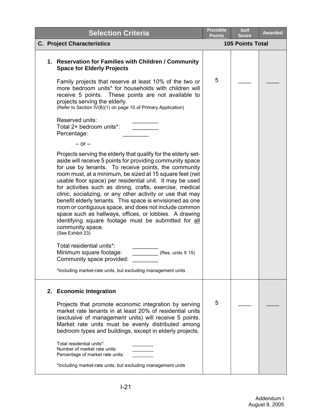|  | <b>Selection Criteria</b>                                                                                                                                                                                                                                                                                                                                                                                                                                                                                                                                                                                                                                                                                            | <b>Possible</b><br><b>Points</b> | <b>Self</b><br><b>Score</b> | <b>Awarded</b> |
|--|----------------------------------------------------------------------------------------------------------------------------------------------------------------------------------------------------------------------------------------------------------------------------------------------------------------------------------------------------------------------------------------------------------------------------------------------------------------------------------------------------------------------------------------------------------------------------------------------------------------------------------------------------------------------------------------------------------------------|----------------------------------|-----------------------------|----------------|
|  | <b>C. Project Characteristics</b>                                                                                                                                                                                                                                                                                                                                                                                                                                                                                                                                                                                                                                                                                    |                                  | <b>105 Points Total</b>     |                |
|  | 1. Reservation for Families with Children / Community<br><b>Space for Elderly Projects</b>                                                                                                                                                                                                                                                                                                                                                                                                                                                                                                                                                                                                                           |                                  |                             |                |
|  | Family projects that reserve at least 10% of the two or<br>more bedroom units* for households with children will<br>receive 5 points. These points are not available to<br>projects serving the elderly.<br>(Refer to Section IV(B)(1) on page 10 of Primary Application)                                                                                                                                                                                                                                                                                                                                                                                                                                            | 5                                |                             |                |
|  | Reserved units:<br>Total 2+ bedroom units*:<br>Percentage:                                                                                                                                                                                                                                                                                                                                                                                                                                                                                                                                                                                                                                                           |                                  |                             |                |
|  | $-$ or $-$                                                                                                                                                                                                                                                                                                                                                                                                                                                                                                                                                                                                                                                                                                           |                                  |                             |                |
|  | Projects serving the elderly that qualify for the elderly set-<br>aside will receive 5 points for providing community space<br>for use by tenants. To receive points, the community<br>room must, at a minimum, be sized at 15 square feet (net<br>usable floor space) per residential unit. It may be used<br>for activities such as dining, crafts, exercise, medical<br>clinic, socializing, or any other activity or use that may<br>benefit elderly tenants. This space is envisioned as one<br>room or contiguous space, and does not include common<br>space such as hallways, offices, or lobbies. A drawing<br>identifying square footage must be submitted for all<br>community space.<br>(See Exhibit 23) |                                  |                             |                |
|  | Total residential units*:<br>Minimum square footage:<br>(Res. units X 15)<br>Community space provided:                                                                                                                                                                                                                                                                                                                                                                                                                                                                                                                                                                                                               |                                  |                             |                |
|  | *Including market-rate units, but excluding management units                                                                                                                                                                                                                                                                                                                                                                                                                                                                                                                                                                                                                                                         |                                  |                             |                |
|  | 2. Economic Integration                                                                                                                                                                                                                                                                                                                                                                                                                                                                                                                                                                                                                                                                                              |                                  |                             |                |
|  | Projects that promote economic integration by serving<br>market rate tenants in at least 20% of residential units<br>(exclusive of management units) will receive 5 points.<br>Market rate units must be evenly distributed among<br>bedroom types and buildings, except in elderly projects.                                                                                                                                                                                                                                                                                                                                                                                                                        | 5                                |                             |                |
|  | Total residential units*:<br>Number of market rate units:<br>Percentage of market rate units:                                                                                                                                                                                                                                                                                                                                                                                                                                                                                                                                                                                                                        |                                  |                             |                |
|  | *Including market-rate units, but excluding management units                                                                                                                                                                                                                                                                                                                                                                                                                                                                                                                                                                                                                                                         |                                  |                             |                |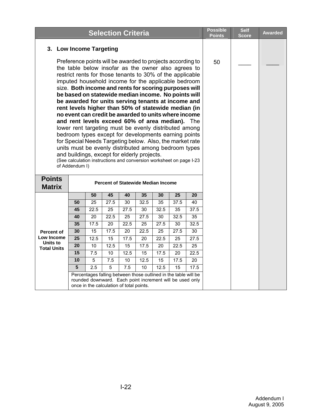|                                                                                                                                                                                                                                                                                                                                                                                                                                                                                                                                                                                                                                                                                                                                                                                                                                                                                                                                                            |                         |                                                                                                                                                                         |                 | <b>Selection Criteria</b> |                 |                                           |                   |                   | <b>Possible</b><br>Points | <b>Self</b><br><b>Score</b> | <b>Awarded</b> |
|------------------------------------------------------------------------------------------------------------------------------------------------------------------------------------------------------------------------------------------------------------------------------------------------------------------------------------------------------------------------------------------------------------------------------------------------------------------------------------------------------------------------------------------------------------------------------------------------------------------------------------------------------------------------------------------------------------------------------------------------------------------------------------------------------------------------------------------------------------------------------------------------------------------------------------------------------------|-------------------------|-------------------------------------------------------------------------------------------------------------------------------------------------------------------------|-----------------|---------------------------|-----------------|-------------------------------------------|-------------------|-------------------|---------------------------|-----------------------------|----------------|
|                                                                                                                                                                                                                                                                                                                                                                                                                                                                                                                                                                                                                                                                                                                                                                                                                                                                                                                                                            | 3. Low Income Targeting |                                                                                                                                                                         |                 |                           |                 |                                           |                   |                   |                           |                             |                |
| Preference points will be awarded to projects according to<br>the table below insofar as the owner also agrees to<br>restrict rents for those tenants to 30% of the applicable<br>imputed household income for the applicable bedroom<br>size. Both income and rents for scoring purposes will<br>be based on statewide median income. No points will<br>be awarded for units serving tenants at income and<br>rent levels higher than 50% of statewide median (in<br>no event can credit be awarded to units where income<br>and rent levels exceed 60% of area median). The<br>lower rent targeting must be evenly distributed among<br>bedroom types except for developments earning points<br>for Special Needs Targeting below. Also, the market rate<br>units must be evenly distributed among bedroom types<br>and buildings, except for elderly projects.<br>(See calculation instructions and conversion worksheet on page I-23<br>of Addendum I) |                         |                                                                                                                                                                         |                 |                           |                 |                                           | 50                |                   |                           |                             |                |
| <b>Points</b><br><b>Matrix</b>                                                                                                                                                                                                                                                                                                                                                                                                                                                                                                                                                                                                                                                                                                                                                                                                                                                                                                                             |                         |                                                                                                                                                                         |                 |                           |                 | <b>Percent of Statewide Median Income</b> |                   |                   |                           |                             |                |
|                                                                                                                                                                                                                                                                                                                                                                                                                                                                                                                                                                                                                                                                                                                                                                                                                                                                                                                                                            |                         | 50                                                                                                                                                                      | 45              | 40                        | 35              | 30                                        | $\overline{25}$   | 20                |                           |                             |                |
|                                                                                                                                                                                                                                                                                                                                                                                                                                                                                                                                                                                                                                                                                                                                                                                                                                                                                                                                                            | 50                      | $\overline{25}$                                                                                                                                                         | 27.5            | 30                        | 32.5            | 35                                        | $\overline{37.5}$ | 40                |                           |                             |                |
|                                                                                                                                                                                                                                                                                                                                                                                                                                                                                                                                                                                                                                                                                                                                                                                                                                                                                                                                                            | 45                      | 22.5                                                                                                                                                                    | 25              | 27.5                      | 30              | 32.5                                      | 35                | $\overline{37.5}$ |                           |                             |                |
|                                                                                                                                                                                                                                                                                                                                                                                                                                                                                                                                                                                                                                                                                                                                                                                                                                                                                                                                                            | 40                      | 20                                                                                                                                                                      | 22.5            | 25                        | 27.5            | 30                                        | 32.5              | 35                |                           |                             |                |
|                                                                                                                                                                                                                                                                                                                                                                                                                                                                                                                                                                                                                                                                                                                                                                                                                                                                                                                                                            | 35                      | 17.5                                                                                                                                                                    | 20              | 22.5                      | 25              | 27.5                                      | 30                | 32.5              |                           |                             |                |
| <b>Percent of</b>                                                                                                                                                                                                                                                                                                                                                                                                                                                                                                                                                                                                                                                                                                                                                                                                                                                                                                                                          | 30                      | $\overline{15}$                                                                                                                                                         | 17.5            | 20                        | 22.5            | 25                                        | 27.5              | $\overline{30}$   |                           |                             |                |
| Low Income                                                                                                                                                                                                                                                                                                                                                                                                                                                                                                                                                                                                                                                                                                                                                                                                                                                                                                                                                 | $\overline{25}$         | 12.5                                                                                                                                                                    | $\overline{15}$ | 17.5                      | $\overline{20}$ | 22.5                                      | $\overline{25}$   | 27.5              |                           |                             |                |
| Units to<br><b>Total Units</b>                                                                                                                                                                                                                                                                                                                                                                                                                                                                                                                                                                                                                                                                                                                                                                                                                                                                                                                             | 20                      | 10                                                                                                                                                                      | 12.5            | $\overline{15}$           | 17.5            | $\overline{20}$                           | 22.5              | 25                |                           |                             |                |
|                                                                                                                                                                                                                                                                                                                                                                                                                                                                                                                                                                                                                                                                                                                                                                                                                                                                                                                                                            | $\overline{15}$         | 7.5                                                                                                                                                                     | $\overline{10}$ | 12.5                      | $\overline{15}$ | 17.5                                      | $\overline{20}$   | 22.5              |                           |                             |                |
|                                                                                                                                                                                                                                                                                                                                                                                                                                                                                                                                                                                                                                                                                                                                                                                                                                                                                                                                                            | 10                      | $\overline{5}$                                                                                                                                                          | 7.5             | 10                        | 12.5            | $\overline{15}$                           | 17.5              | $\overline{20}$   |                           |                             |                |
|                                                                                                                                                                                                                                                                                                                                                                                                                                                                                                                                                                                                                                                                                                                                                                                                                                                                                                                                                            | 5                       | 2.5                                                                                                                                                                     | 5               | 7.5                       | 10              | 12.5                                      | 15                | 17.5              |                           |                             |                |
|                                                                                                                                                                                                                                                                                                                                                                                                                                                                                                                                                                                                                                                                                                                                                                                                                                                                                                                                                            |                         | Percentages falling between those outlined in the table will be<br>rounded downward. Each point increment will be used only<br>once in the calculation of total points. |                 |                           |                 |                                           |                   |                   |                           |                             |                |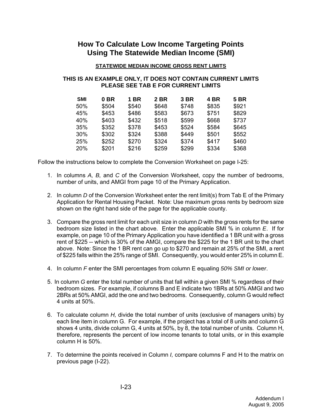# **How To Calculate Low Income Targeting Points Using The Statewide Median Income (SMI)**

#### **STATEWIDE MEDIAN INCOME GROSS RENT LIMITS**

#### **THIS IS AN EXAMPLE ONLY, IT DOES NOT CONTAIN CURRENT LIMITS PLEASE SEE TAB E FOR CURRENT LIMITS**

| <b>SMI</b> | 0 BR  | 1 BR  | 2 BR  | 3 BR  | 4 BR  | <b>5 BR</b> |
|------------|-------|-------|-------|-------|-------|-------------|
| 50%        | \$504 | \$540 | \$648 | \$748 | \$835 | \$921       |
| 45%        | \$453 | \$486 | \$583 | \$673 | \$751 | \$829       |
| 40%        | \$403 | \$432 | \$518 | \$599 | \$668 | \$737       |
| 35%        | \$352 | \$378 | \$453 | \$524 | \$584 | \$645       |
| 30%        | \$302 | \$324 | \$388 | \$449 | \$501 | \$552       |
| 25%        | \$252 | \$270 | \$324 | \$374 | \$417 | \$460       |
| <b>20%</b> | \$201 | \$216 | \$259 | \$299 | \$334 | \$368       |

Follow the instructions below to complete the Conversion Worksheet on page I-25:

- 1. In columns *A, B,* and *C* of the Conversion Worksheet, copy the number of bedrooms, number of units, and AMGI from page 10 of the Primary Application.
- 2. In column *D* of the Conversion Worksheet enter the rent limit(s) from Tab E of the Primary Application for Rental Housing Packet. Note: Use maximum gross rents by bedroom size shown on the right hand side of the page for the applicable county.
- 3. Compare the gross rent limit for each unit size in column *D* with the gross rents for the same bedroom size listed in the chart above. Enter the applicable SMI % in column *E*. If for example, on page 10 of the Primary Application you have identified a 1 BR unit with a gross rent of \$225 -- which is 30% of the AMGI, compare the \$225 for the 1 BR unit to the chart above. Note: Since the 1 BR rent can go up to \$270 and remain at 25% of the SMI, a rent of \$225 falls within the 25% range of SMI. Consequently, you would enter 25% in column E.
- 4. In column *F* enter the SMI percentages from column E equaling *50% SMI or lower*.
- 5. In column *G* enter the total number of units that fall within a given SMI % regardless of their bedroom sizes. For example, if columns B and E indicate two 1BRs at 50% AMGI and two 2BRs at 50% AMGI, add the one and two bedrooms. Consequently, column G would reflect 4 units at 50%.
- 6. To calculate column *H,* divide the total number of units (exclusive of managers units) by each line item in column G. For example, if the project has a total of 8 units and column G shows 4 units, divide column G, 4 units at 50%, by 8, the total number of units. Column H, therefore, represents the percent of low income tenants to total units, or in this example column H is 50%.
- 7. To determine the points received in Column *I,* compare columns F and H to the matrix on previous page (I-22).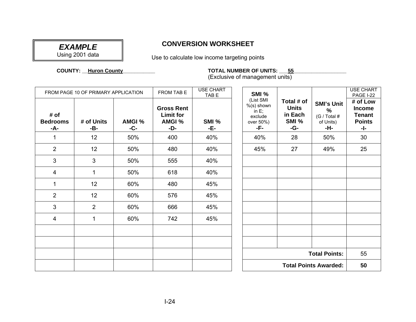# *EXAMPLE*  Using 2001 data

## **CONVERSION WORKSHEET**

Use to calculate low income targeting points

 **COUNTY:**

**\_\_Huron County\_\_\_\_\_\_\_\_\_\_\_ TOTAL NUMBER OF UNITS: \_\_\_55\_\_\_\_\_\_\_\_\_\_\_\_\_\_\_\_\_\_**

(Exclusive of management units)

|                                | FROM PAGE 10 OF PRIMARY APPLICATION |                      | <b>FROM TAB E</b>                                             | <b>USE CHART</b><br>TAB <sub>E</sub> | SMI %                                                                 |                                                       |                                                                        | <b>USE CHART</b><br><b>PAGE I-22</b>                               |
|--------------------------------|-------------------------------------|----------------------|---------------------------------------------------------------|--------------------------------------|-----------------------------------------------------------------------|-------------------------------------------------------|------------------------------------------------------------------------|--------------------------------------------------------------------|
| # of<br><b>Bedrooms</b><br>-A- | # of Units<br>-B-                   | <b>AMGI %</b><br>-C- | <b>Gross Rent</b><br><b>Limit for</b><br><b>AMGI %</b><br>-D- | SMI %<br>-E-                         | (List SMI<br>$%$ (s) shown<br>in $E$ ;<br>exclude<br>over 50%)<br>-F- | Total # of<br><b>Units</b><br>in Each<br>SMI %<br>-G- | <b>SMI's Unit</b><br>$\frac{9}{6}$<br>(G / Total #<br>of Units)<br>-H- | # of Low<br><b>Income</b><br><b>Tenant</b><br><b>Points</b><br>-1- |
| $\mathbf{1}$                   | 12 <sup>2</sup>                     | 50%                  | 400                                                           | 40%                                  | 40%                                                                   | 28                                                    | 50%                                                                    | 30                                                                 |
| $\overline{2}$                 | 12 <sup>2</sup>                     | 50%                  | 480                                                           | 40%                                  | 45%                                                                   | 27                                                    | 49%                                                                    | 25                                                                 |
| 3                              | 3                                   | 50%                  | 555                                                           | 40%                                  |                                                                       |                                                       |                                                                        |                                                                    |
| 4                              | $\mathbf{1}$                        | 50%                  | 618                                                           | 40%                                  |                                                                       |                                                       |                                                                        |                                                                    |
| $\mathbf{1}$                   | 12 <sup>2</sup>                     | 60%                  | 480                                                           | 45%                                  |                                                                       |                                                       |                                                                        |                                                                    |
| $\overline{2}$                 | 12 <sup>2</sup>                     | 60%                  | 576                                                           | 45%                                  |                                                                       |                                                       |                                                                        |                                                                    |
| 3                              | $\overline{2}$                      | 60%                  | 666                                                           | 45%                                  |                                                                       |                                                       |                                                                        |                                                                    |
| 4                              | $\mathbf{1}$                        | 60%                  | 742                                                           | 45%                                  |                                                                       |                                                       |                                                                        |                                                                    |
|                                |                                     |                      |                                                               |                                      |                                                                       |                                                       |                                                                        |                                                                    |
|                                |                                     |                      |                                                               |                                      |                                                                       |                                                       |                                                                        |                                                                    |
|                                |                                     |                      |                                                               |                                      |                                                                       |                                                       | <b>Total Points:</b>                                                   | 55                                                                 |
|                                |                                     |                      |                                                               |                                      |                                                                       |                                                       | <b>Total Points Awarded:</b>                                           | 50                                                                 |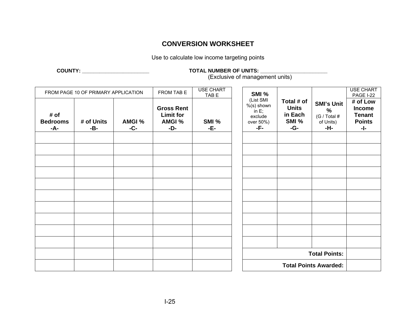## **CONVERSION WORKSHEET**

Use to calculate low income targeting points

#### **COUNTY: \_\_\_\_\_\_\_\_\_\_\_\_\_\_\_\_\_\_\_\_\_\_\_ TOTAL NUMBER OF UNITS: \_\_\_\_\_\_\_\_\_\_\_\_\_\_\_\_\_\_\_\_\_\_\_**

(Exclusive of management units)

|                                | FROM PAGE 10 OF PRIMARY APPLICATION |                      | FROM TAB E                                             | <b>USE CHART</b><br>TAB E | SMI %                                                                 |                                                       |                                                               | <b>USE CHART</b><br>PAGE I-22                                      |
|--------------------------------|-------------------------------------|----------------------|--------------------------------------------------------|---------------------------|-----------------------------------------------------------------------|-------------------------------------------------------|---------------------------------------------------------------|--------------------------------------------------------------------|
| # of<br><b>Bedrooms</b><br>-A- | # of Units<br>-B-                   | <b>AMGI %</b><br>-C- | <b>Gross Rent</b><br><b>Limit for</b><br>AMGI %<br>-D- | SMI %<br>-E-              | (List SMI<br>$%$ (s) shown<br>in $E$ ;<br>exclude<br>over 50%)<br>-F- | Total # of<br><b>Units</b><br>in Each<br>SMI %<br>-G- | <b>SMI's Unit</b><br>$\%$<br>(G / Total #<br>of Units)<br>-H- | # of Low<br><b>Income</b><br><b>Tenant</b><br><b>Points</b><br>-1- |
|                                |                                     |                      |                                                        |                           |                                                                       |                                                       |                                                               |                                                                    |
|                                |                                     |                      |                                                        |                           |                                                                       |                                                       |                                                               |                                                                    |
|                                |                                     |                      |                                                        |                           |                                                                       |                                                       |                                                               |                                                                    |
|                                |                                     |                      |                                                        |                           |                                                                       |                                                       |                                                               |                                                                    |
|                                |                                     |                      |                                                        |                           |                                                                       |                                                       |                                                               |                                                                    |
|                                |                                     |                      |                                                        |                           |                                                                       |                                                       |                                                               |                                                                    |
|                                |                                     |                      |                                                        |                           |                                                                       |                                                       |                                                               |                                                                    |
|                                |                                     |                      |                                                        |                           |                                                                       |                                                       |                                                               |                                                                    |
|                                |                                     |                      |                                                        |                           |                                                                       |                                                       |                                                               |                                                                    |
|                                |                                     |                      |                                                        |                           |                                                                       |                                                       |                                                               |                                                                    |
|                                |                                     |                      |                                                        |                           |                                                                       |                                                       | <b>Total Points:</b>                                          |                                                                    |
|                                |                                     |                      |                                                        |                           |                                                                       |                                                       | <b>Total Points Awarded:</b>                                  |                                                                    |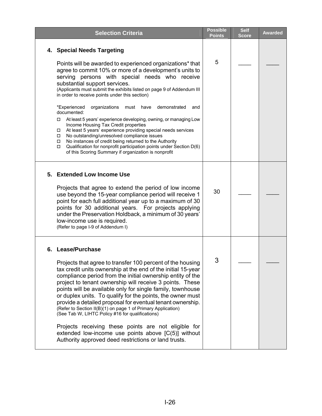| <b>Selection Criteria</b>                                                                                                                                                                                                                                                                                                                                                                                                                                                                                                                                                                                                                                                                                                                                                                                                                                                      | <b>Possible</b><br><b>Points</b> | <b>Self</b><br><b>Score</b> | <b>Awarded</b> |
|--------------------------------------------------------------------------------------------------------------------------------------------------------------------------------------------------------------------------------------------------------------------------------------------------------------------------------------------------------------------------------------------------------------------------------------------------------------------------------------------------------------------------------------------------------------------------------------------------------------------------------------------------------------------------------------------------------------------------------------------------------------------------------------------------------------------------------------------------------------------------------|----------------------------------|-----------------------------|----------------|
| 4. Special Needs Targeting                                                                                                                                                                                                                                                                                                                                                                                                                                                                                                                                                                                                                                                                                                                                                                                                                                                     |                                  |                             |                |
| Points will be awarded to experienced organizations* that<br>agree to commit 10% or more of a development's units to<br>serving persons with special needs who receive<br>substantial support services.<br>(Applicants must submit the exhibits listed on page 9 of Addendum III<br>in order to receive points under this section)<br>*Experienced<br>organizations<br>must have<br>demonstrated<br>and<br>documented:<br>At least 5 years' experience developing, owning, or managing Low<br>Income Housing Tax Credit properties<br>At least 5 years' experience providing special needs services<br>$\Box$<br>No outstanding/unresolved compliance issues<br>$\Box$<br>No instances of credit being returned to the Authority<br>□<br>Qualification for nonprofit participation points under Section D(6)<br>$\Box$<br>of this Scoring Summary if organization is nonprofit | 5                                |                             |                |
| 5. Extended Low Income Use<br>Projects that agree to extend the period of low income<br>use beyond the 15-year compliance period will receive 1<br>point for each full additional year up to a maximum of 30<br>points for 30 additional years. For projects applying<br>under the Preservation Holdback, a minimum of 30 years'<br>low-income use is required.<br>(Refer to page I-9 of Addendum I)                                                                                                                                                                                                                                                                                                                                                                                                                                                                           | 30                               |                             |                |
| <b>Lease/Purchase</b><br>6.<br>Projects that agree to transfer 100 percent of the housing<br>tax credit units ownership at the end of the initial 15-year<br>compliance period from the initial ownership entity of the<br>project to tenant ownership will receive 3 points. These<br>points will be available only for single family, townhouse<br>or duplex units. To qualify for the points, the owner must<br>provide a detailed proposal for eventual tenant ownership.<br>(Refer to Section II(B)(1) on page 1 of Primary Application)<br>(See Tab W, LIHTC Policy #16 for qualifications)<br>Projects receiving these points are not eligible for<br>extended low-income use points above $[C(5)]$ without<br>Authority approved deed restrictions or land trusts.                                                                                                     | 3                                |                             |                |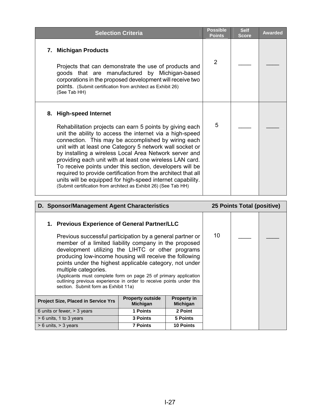| <b>Selection Criteria</b>                                                                                                                                                                                                                                                                                                                                                                                                                                                                                                                                                                                                                              | <b>Possible</b><br><b>Points</b> | <b>Self</b><br><b>Score</b> | <b>Awarded</b> |
|--------------------------------------------------------------------------------------------------------------------------------------------------------------------------------------------------------------------------------------------------------------------------------------------------------------------------------------------------------------------------------------------------------------------------------------------------------------------------------------------------------------------------------------------------------------------------------------------------------------------------------------------------------|----------------------------------|-----------------------------|----------------|
| <b>Michigan Products</b><br>7.<br>Projects that can demonstrate the use of products and<br>goods that are manufactured by Michigan-based<br>corporations in the proposed development will receive two<br>points. (Submit certification from architect as Exhibit 26)<br>(See Tab HH)                                                                                                                                                                                                                                                                                                                                                                   | 2                                |                             |                |
| 8. High-speed Internet<br>Rehabilitation projects can earn 5 points by giving each<br>unit the ability to access the internet via a high-speed<br>connection. This may be accomplished by wiring each<br>unit with at least one Category 5 network wall socket or<br>by installing a wireless Local Area Network server and<br>providing each unit with at least one wireless LAN card.<br>To receive points under this section, developers will be<br>required to provide certification from the architect that all<br>units will be equipped for high-speed internet capability.<br>(Submit certification from architect as Exhibit 26) (See Tab HH) | 5                                |                             |                |

| D. Sponsor/Management Agent Characteristics                                                                                                                                                                                                                                                                                                                                                                                                                                                              |                                       |                  |  | 25 Points Total (positive) |  |
|----------------------------------------------------------------------------------------------------------------------------------------------------------------------------------------------------------------------------------------------------------------------------------------------------------------------------------------------------------------------------------------------------------------------------------------------------------------------------------------------------------|---------------------------------------|------------------|--|----------------------------|--|
| 1. Previous Experience of General Partner/LLC                                                                                                                                                                                                                                                                                                                                                                                                                                                            |                                       |                  |  |                            |  |
| Previous successful participation by a general partner or<br>member of a limited liability company in the proposed<br>development utilizing the LIHTC or other programs<br>producing low-income housing will receive the following<br>points under the highest applicable category, not under<br>multiple categories.<br>(Applicants must complete form on page 25 of primary application<br>outlining previous experience in order to receive points under this<br>section. Submit form as Exhibit 11a) |                                       | 10               |  |                            |  |
| <b>Project Size, Placed in Service Yrs</b>                                                                                                                                                                                                                                                                                                                                                                                                                                                               | <b>Property in</b><br><b>Michigan</b> |                  |  |                            |  |
| 6 units or fewer, > 3 years                                                                                                                                                                                                                                                                                                                                                                                                                                                                              | 2 Point                               |                  |  |                            |  |
| $> 6$ units, 1 to 3 years                                                                                                                                                                                                                                                                                                                                                                                                                                                                                | <b>3 Points</b>                       | 5 Points         |  |                            |  |
| $> 6$ units, $> 3$ years                                                                                                                                                                                                                                                                                                                                                                                                                                                                                 | <b>7 Points</b>                       | <b>10 Points</b> |  |                            |  |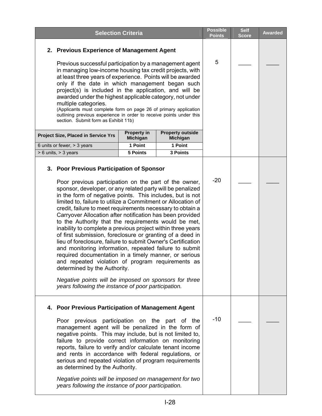|                                                                                                                                                                                                                                                                                                                                                                                                                                                                                                                                                                                                                                                                                                                                                                                                                                                                                                                                                                                                                              | <b>Selection Criteria</b>             |                                     | <b>Possible</b><br><b>Points</b> | <b>Self</b><br><b>Score</b> | <b>Awarded</b> |
|------------------------------------------------------------------------------------------------------------------------------------------------------------------------------------------------------------------------------------------------------------------------------------------------------------------------------------------------------------------------------------------------------------------------------------------------------------------------------------------------------------------------------------------------------------------------------------------------------------------------------------------------------------------------------------------------------------------------------------------------------------------------------------------------------------------------------------------------------------------------------------------------------------------------------------------------------------------------------------------------------------------------------|---------------------------------------|-------------------------------------|----------------------------------|-----------------------------|----------------|
| 2. Previous Experience of Management Agent                                                                                                                                                                                                                                                                                                                                                                                                                                                                                                                                                                                                                                                                                                                                                                                                                                                                                                                                                                                   |                                       |                                     |                                  |                             |                |
| Previous successful participation by a management agent<br>in managing low-income housing tax credit projects, with<br>at least three years of experience. Points will be awarded<br>only if the date in which management began such<br>project(s) is included in the application, and will be<br>awarded under the highest applicable category, not under<br>multiple categories.<br>(Applicants must complete form on page 26 of primary application<br>outlining previous experience in order to receive points under this<br>section. Submit form as Exhibit 11b)                                                                                                                                                                                                                                                                                                                                                                                                                                                        | 5                                     |                                     |                                  |                             |                |
| <b>Project Size, Placed in Service Yrs</b>                                                                                                                                                                                                                                                                                                                                                                                                                                                                                                                                                                                                                                                                                                                                                                                                                                                                                                                                                                                   | <b>Property in</b><br><b>Michigan</b> | <b>Property outside</b><br>Michigan |                                  |                             |                |
| 6 units or fewer, > 3 years                                                                                                                                                                                                                                                                                                                                                                                                                                                                                                                                                                                                                                                                                                                                                                                                                                                                                                                                                                                                  | 1 Point                               | 1 Point                             |                                  |                             |                |
| > 6 units, > 3 years<br>3. Poor Previous Participation of Sponsor<br>Poor previous participation on the part of the owner,<br>sponsor, developer, or any related party will be penalized<br>in the form of negative points. This includes, but is not<br>limited to, failure to utilize a Commitment or Allocation of<br>credit, failure to meet requirements necessary to obtain a<br>Carryover Allocation after notification has been provided<br>to the Authority that the requirements would be met,<br>inability to complete a previous project within three years<br>of first submission, foreclosure or granting of a deed in<br>lieu of foreclosure, failure to submit Owner's Certification<br>and monitoring information, repeated failure to submit<br>required documentation in a timely manner, or serious<br>and repeated violation of program requirements as<br>determined by the Authority.<br>Negative points will be imposed on sponsors for three<br>years following the instance of poor participation. | <b>5 Points</b>                       | 3 Points                            | $-20$                            |                             |                |
| 4. Poor Previous Participation of Management Agent<br>Poor previous participation on the part of the<br>management agent will be penalized in the form of<br>negative points. This may include, but is not limited to,<br>failure to provide correct information on monitoring<br>reports, failure to verify and/or calculate tenant income<br>and rents in accordance with federal regulations, or<br>serious and repeated violation of program requirements<br>as determined by the Authority.<br>Negative points will be imposed on management for two<br>years following the instance of poor participation.                                                                                                                                                                                                                                                                                                                                                                                                             |                                       |                                     | $-10$                            |                             |                |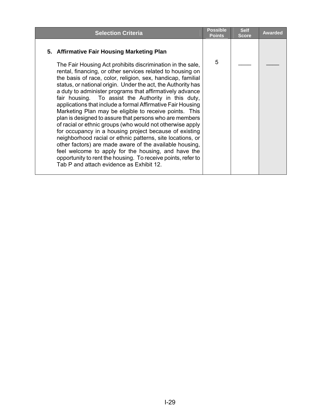| <b>Selection Criteria</b>                                                                                                                                                                                                                                                                                                                                                                                                                                                                                                                                                                                                                                                                                                                                                                                                                                                                                                                                                                                                       | <b>Possible</b><br><b>Points</b> | <b>Self</b><br><b>Score</b> | <b>Awarded</b> |
|---------------------------------------------------------------------------------------------------------------------------------------------------------------------------------------------------------------------------------------------------------------------------------------------------------------------------------------------------------------------------------------------------------------------------------------------------------------------------------------------------------------------------------------------------------------------------------------------------------------------------------------------------------------------------------------------------------------------------------------------------------------------------------------------------------------------------------------------------------------------------------------------------------------------------------------------------------------------------------------------------------------------------------|----------------------------------|-----------------------------|----------------|
| 5. Affirmative Fair Housing Marketing Plan<br>The Fair Housing Act prohibits discrimination in the sale,<br>rental, financing, or other services related to housing on<br>the basis of race, color, religion, sex, handicap, familial<br>status, or national origin. Under the act, the Authority has<br>a duty to administer programs that affirmatively advance<br>fair housing. To assist the Authority in this duty,<br>applications that include a formal Affirmative Fair Housing<br>Marketing Plan may be eligible to receive points. This<br>plan is designed to assure that persons who are members<br>of racial or ethnic groups (who would not otherwise apply<br>for occupancy in a housing project because of existing<br>neighborhood racial or ethnic patterns, site locations, or<br>other factors) are made aware of the available housing,<br>feel welcome to apply for the housing, and have the<br>opportunity to rent the housing. To receive points, refer to<br>Tab P and attach evidence as Exhibit 12. | 5                                |                             |                |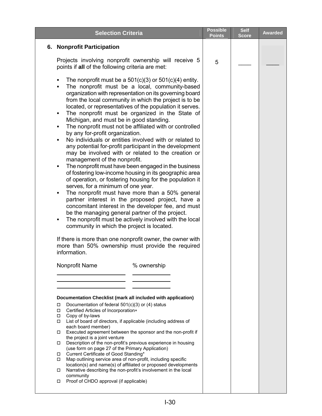<span id="page-30-0"></span>

| <b>Selection Criteria</b>                                                                                                                                                                                                                                                                                                                                                                                                                                                                                                                                                                                                                                                                                                                                                                                                                                                                                                                                                                                                                                                                                                                                                                                                                                                                                                                                                                                    | <b>Possible</b><br><b>Points</b> | <b>Self</b><br><b>Score</b> | <b>Awarded</b> |
|--------------------------------------------------------------------------------------------------------------------------------------------------------------------------------------------------------------------------------------------------------------------------------------------------------------------------------------------------------------------------------------------------------------------------------------------------------------------------------------------------------------------------------------------------------------------------------------------------------------------------------------------------------------------------------------------------------------------------------------------------------------------------------------------------------------------------------------------------------------------------------------------------------------------------------------------------------------------------------------------------------------------------------------------------------------------------------------------------------------------------------------------------------------------------------------------------------------------------------------------------------------------------------------------------------------------------------------------------------------------------------------------------------------|----------------------------------|-----------------------------|----------------|
| 6. Nonprofit Participation                                                                                                                                                                                                                                                                                                                                                                                                                                                                                                                                                                                                                                                                                                                                                                                                                                                                                                                                                                                                                                                                                                                                                                                                                                                                                                                                                                                   |                                  |                             |                |
| Projects involving nonprofit ownership will receive 5<br>points if all of the following criteria are met:                                                                                                                                                                                                                                                                                                                                                                                                                                                                                                                                                                                                                                                                                                                                                                                                                                                                                                                                                                                                                                                                                                                                                                                                                                                                                                    | 5                                |                             |                |
| The nonprofit must be a $501(c)(3)$ or $501(c)(4)$ entity.<br>٠<br>The nonprofit must be a local, community-based<br>organization with representation on its governing board<br>from the local community in which the project is to be<br>located, or representatives of the population it serves.<br>The nonprofit must be organized in the State of<br>Michigan, and must be in good standing.<br>The nonprofit must not be affiliated with or controlled<br>٠<br>by any for-profit organization.<br>No individuals or entities involved with or related to<br>٠<br>any potential for-profit participant in the development<br>may be involved with or related to the creation or<br>management of the nonprofit.<br>The nonprofit must have been engaged in the business<br>٠<br>of fostering low-income housing in its geographic area<br>of operation, or fostering housing for the population it<br>serves, for a minimum of one year.<br>The nonprofit must have more than a 50% general<br>٠<br>partner interest in the proposed project, have a<br>concomitant interest in the developer fee, and must<br>be the managing general partner of the project.<br>The nonprofit must be actively involved with the local<br>community in which the project is located.<br>If there is more than one nonprofit owner, the owner with<br>more than 50% ownership must provide the required<br>information. |                                  |                             |                |
| Nonprofit Name<br>% ownership                                                                                                                                                                                                                                                                                                                                                                                                                                                                                                                                                                                                                                                                                                                                                                                                                                                                                                                                                                                                                                                                                                                                                                                                                                                                                                                                                                                |                                  |                             |                |
|                                                                                                                                                                                                                                                                                                                                                                                                                                                                                                                                                                                                                                                                                                                                                                                                                                                                                                                                                                                                                                                                                                                                                                                                                                                                                                                                                                                                              |                                  |                             |                |
| Documentation Checklist (mark all included with application)<br>Documentation of federal 501(c)(3) or (4) status<br>□<br>Certified Articles of Incorporation*<br>□<br>Copy of by-laws<br>□<br>List of board of directors, if applicable (including address of<br>□<br>each board member)<br>Executed agreement between the sponsor and the non-profit if<br>□<br>the project is a joint venture<br>Description of the non-profit's previous experience in housing<br>□<br>(use form on page 27 of the Primary Application)<br>Current Certificate of Good Standing*<br>□<br>Map outlining service area of non-profit, including specific<br>□<br>location(s) and name(s) of affiliated or proposed developments<br>Narrative describing the non-profit's involvement in the local<br>□<br>community<br>Proof of CHDO approval (if applicable)<br>□                                                                                                                                                                                                                                                                                                                                                                                                                                                                                                                                                           |                                  |                             |                |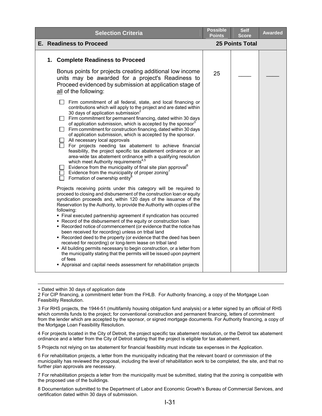| <b>Selection Criteria</b>                                                                                                                                                                                                                                                                                                                                                                                                                                                                                                                                                                                                                                                                                                                                                                                                                                                                                                                                   |    | <b>Self</b><br><b>Score</b> | <b>Awarded</b> |
|-------------------------------------------------------------------------------------------------------------------------------------------------------------------------------------------------------------------------------------------------------------------------------------------------------------------------------------------------------------------------------------------------------------------------------------------------------------------------------------------------------------------------------------------------------------------------------------------------------------------------------------------------------------------------------------------------------------------------------------------------------------------------------------------------------------------------------------------------------------------------------------------------------------------------------------------------------------|----|-----------------------------|----------------|
| <b>E. Readiness to Proceed</b>                                                                                                                                                                                                                                                                                                                                                                                                                                                                                                                                                                                                                                                                                                                                                                                                                                                                                                                              |    | <b>25 Points Total</b>      |                |
| 1. Complete Readiness to Proceed                                                                                                                                                                                                                                                                                                                                                                                                                                                                                                                                                                                                                                                                                                                                                                                                                                                                                                                            |    |                             |                |
| Bonus points for projects creating additional low income<br>units may be awarded for a project's Readiness to<br>Proceed evidenced by submission at application stage of<br>all of the following:                                                                                                                                                                                                                                                                                                                                                                                                                                                                                                                                                                                                                                                                                                                                                           | 25 |                             |                |
| Firm commitment of all federal, state, and local financing or<br>contributions which will apply to the project and are dated within<br>30 days of application submission <sup>2</sup><br>Firm commitment for permanent financing, dated within 30 days<br>of application submission, which is accepted by the sponsor <sup>3</sup><br>Firm commitment for construction financing, dated within 30 days<br>of application submission, which is accepted by the sponsor.<br>All necessary local approvals<br>For projects needing tax abatement to achieve financial<br>feasibility, the project specific tax abatement ordinance or an<br>area-wide tax abatement ordinance with a qualifying resolution<br>which meet Authority requirements <sup>4,5</sup><br>Evidence from the municipality of final site plan approval <sup>6</sup><br>Evidence from the municipality of proper zoning <sup>7</sup><br>Formation of ownership entity <sup>8</sup>        |    |                             |                |
| Projects receiving points under this category will be required to<br>proceed to closing and disbursement of the construction loan or equity<br>syndication proceeds and, within 120 days of the issuance of the<br>Reservation by the Authority, to provide the Authority with copies of the<br>following:<br>• Final executed partnership agreement if syndication has occurred<br>• Record of the disbursement of the equity or construction loan<br>• Recorded notice of commencement (or evidence that the notice has<br>been received for recording) unless on tribal land<br>• Recorded deed to the property (or evidence that the deed has been<br>received for recording) or long-term lease on tribal land<br>• All building permits necessary to begin construction, or a letter from<br>the municipality stating that the permits will be issued upon payment<br>of fees<br>• Appraisal and capital needs assessment for rehabilitation projects |    |                             |                |

∗ Dated within 30 days of application date

 $\overline{a}$ 

<span id="page-31-0"></span>2 For CIP financing, a commitment letter from the FHLB. For Authority financing, a copy of the Mortgage Loan Feasibility Resolution.

<span id="page-31-1"></span>3 For RHS projects, the 1944-51 (multifamily housing obligation fund analysis) or a letter signed by an official of RHS which commits funds to the project; for conventional construction and permanent financing, letters of commitment from the lender which are accepted by the sponsor, or signed mortgage documents. For Authority financing, a copy of the Mortgage Loan Feasibility Resolution.

<span id="page-31-2"></span>4 For projects located in the City of Detroit, the project specific tax abatement resolution, or the Detroit tax abatement ordinance and a letter from the City of Detroit stating that the project is eligible for tax abatement.

<span id="page-31-3"></span>5 Projects not relying on tax abatement for financial feasibility must indicate tax expenses in the Application.

<span id="page-31-4"></span>6 For rehabilitation projects, a letter from the municipality indicating that the relevant board or commission of the municipality has reviewed the proposal, including the level of rehabilitation work to be completed, the site, and that no further plan approvals are necessary.

<span id="page-31-5"></span>7 For rehabilitation projects a letter from the municipality must be submitted, stating that the zoning is compatible with the proposed use of the buildings.

<span id="page-31-6"></span>8 Documentation submitted to the Department of Labor and Economic Growth's Bureau of Commercial Services, and certification dated within 30 days of submission.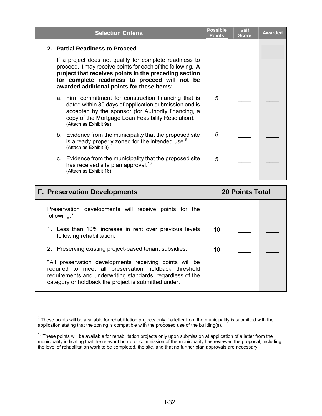| <b>Selection Criteria</b>                                                                                                                                                                                                                                                      | <b>Possible</b><br><b>Points</b> | <b>Self</b><br><b>Score</b> | <b>Awarded</b> |
|--------------------------------------------------------------------------------------------------------------------------------------------------------------------------------------------------------------------------------------------------------------------------------|----------------------------------|-----------------------------|----------------|
| 2. Partial Readiness to Proceed                                                                                                                                                                                                                                                |                                  |                             |                |
| If a project does not qualify for complete readiness to<br>proceed, it may receive points for each of the following. A<br>project that receives points in the preceding section<br>for complete readiness to proceed will not be<br>awarded additional points for these items: |                                  |                             |                |
| a. Firm commitment for construction financing that is<br>dated within 30 days of application submission and is<br>accepted by the sponsor (for Authority financing, a<br>copy of the Mortgage Loan Feasibility Resolution).<br>(Attach as Exhibit 9a)                          | 5                                |                             |                |
| b. Evidence from the municipality that the proposed site<br>is already properly zoned for the intended use. <sup>9</sup><br>(Attach as Exhibit 3)                                                                                                                              | 5                                |                             |                |
| c. Evidence from the municipality that the proposed site<br>has received site plan approval. <sup>10</sup><br>(Attach as Exhibit 16)                                                                                                                                           | 5                                |                             |                |

| <b>F. Preservation Developments</b>                                                                                                                                                                                                   |    | <b>20 Points Total</b> |  |
|---------------------------------------------------------------------------------------------------------------------------------------------------------------------------------------------------------------------------------------|----|------------------------|--|
| Preservation developments will receive points for the<br>following:*                                                                                                                                                                  |    |                        |  |
| 1. Less than 10% increase in rent over previous levels<br>following rehabilitation.                                                                                                                                                   | 10 |                        |  |
| 2. Preserving existing project-based tenant subsidies.                                                                                                                                                                                | 10 |                        |  |
| *All preservation developments receiving points will be<br>required to meet all preservation holdback threshold<br>requirements and underwriting standards, regardless of the<br>category or holdback the project is submitted under. |    |                        |  |

 $9$  These points will be available for rehabilitation projects only if a letter from the municipality is submitted with the application stating that the zoning is compatible with the proposed use of the building(s).

 $10$  These points will be available for rehabilitation projects only upon submission at application of a letter from the municipality indicating that the relevant board or commission of the municipality has reviewed the proposal, including the level of rehabilitation work to be completed, the site, and that no further plan approvals are necessary.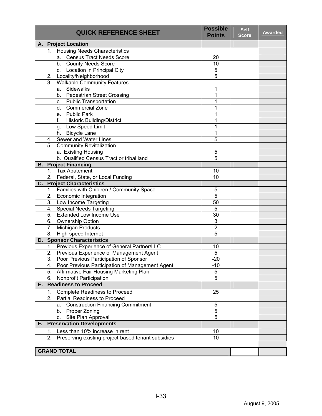| <b>QUICK REFERENCE SHEET</b>                                 | <b>Possible</b><br><b>Points</b> | <b>Self</b><br><b>Score</b> | <b>Awarded</b> |
|--------------------------------------------------------------|----------------------------------|-----------------------------|----------------|
| A. Project Location                                          |                                  |                             |                |
| <b>Housing Needs Characteristics</b><br>1.                   |                                  |                             |                |
| Census Tract Needs Score<br>а.                               | 20                               |                             |                |
| b. County Needs Score                                        | 10                               |                             |                |
| Location in Principal City<br>C.                             | 5                                |                             |                |
| 2.<br>Locality/Neighborhood                                  | $\overline{5}$                   |                             |                |
| 3.<br><b>Walkable Community Features</b>                     |                                  |                             |                |
| Sidewalks<br>а.                                              | 1                                |                             |                |
| b. Pedestrian Street Crossing                                | 1                                |                             |                |
| <b>Public Transportation</b><br>C.                           | 1                                |                             |                |
| <b>Commercial Zone</b><br>d. I                               | 1                                |                             |                |
| <b>Public Park</b><br>e.                                     | 1                                |                             |                |
| f.<br><b>Historic Building/District</b>                      | 1                                |                             |                |
| g. Low Speed Limit                                           | 1                                |                             |                |
| h. Bicycle Lane                                              | 1                                |                             |                |
| Sewer and Water Lines<br>4.                                  | $\overline{5}$                   |                             |                |
| <b>Community Revitalization</b><br>5.                        |                                  |                             |                |
| a. Existing Housing                                          | 5                                |                             |                |
| b. Qualified Census Tract or tribal land                     | $\overline{5}$                   |                             |                |
| <b>B.</b> Project Financing                                  |                                  |                             |                |
| <b>Tax Abatement</b><br>1.                                   | 10                               |                             |                |
| Federal, State, or Local Funding<br>2.                       | 10                               |                             |                |
| C.<br><b>Project Characteristics</b>                         |                                  |                             |                |
| Families with Children / Community Space<br>1.               | 5                                |                             |                |
| 2.<br>Economic Integration                                   | $\overline{5}$                   |                             |                |
| 3. Low Income Targeting                                      | $\overline{50}$                  |                             |                |
| 4. Special Needs Targeting                                   | $\overline{5}$                   |                             |                |
| <b>Extended Low Income Use</b><br>5.                         | $\overline{30}$                  |                             |                |
| 6.<br>Ownership Option                                       | 3                                |                             |                |
| Michigan Products<br>7.                                      | 2                                |                             |                |
| High-speed Internet<br>8.                                    | $\overline{5}$                   |                             |                |
| <b>D. Sponsor Characteristics</b>                            |                                  |                             |                |
| Previous Experience of General Partner/LLC<br>1.             | 10                               |                             |                |
| Previous Experience of Management Agent<br>2.                | 5                                |                             |                |
| $\overline{3}$ .<br>Poor Previous Participation of Sponsor   | $-20$                            |                             |                |
| Poor Previous Participation of Management Agent<br>4.        | $-10$                            |                             |                |
| Affirmative Fair Housing Marketing Plan<br>5.                | 5                                |                             |                |
| 6.<br>Nonprofit Participation<br><b>Readiness to Proceed</b> | $\overline{5}$                   |                             |                |
| Е.                                                           |                                  |                             |                |
| <b>Complete Readiness to Proceed</b><br>1.                   | 25                               |                             |                |
| 2.<br><b>Partial Readiness to Proceed</b>                    |                                  |                             |                |
| <b>Construction Financing Commitment</b><br>а.               | 5                                |                             |                |
| Proper Zoning<br>b.                                          | 5                                |                             |                |
| Site Plan Approval<br>C.                                     | 5                                |                             |                |
| <b>Preservation Developments</b><br>F.                       |                                  |                             |                |
| Less than 10% increase in rent<br>1.                         | 10                               |                             |                |
| 2.<br>Preserving existing project-based tenant subsidies     | 10                               |                             |                |
|                                                              |                                  |                             |                |
| <b>GRAND TOTAL</b>                                           |                                  |                             |                |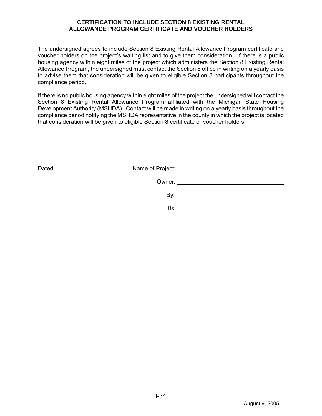#### **CERTIFICATION TO INCLUDE SECTION 8 EXISTING RENTAL ALLOWANCE PROGRAM CERTIFICATE AND VOUCHER HOLDERS**

The undersigned agrees to include Section 8 Existing Rental Allowance Program certificate and voucher holders on the project's waiting list and to give them consideration. If there is a public housing agency within eight miles of the project which administers the Section 8 Existing Rental Allowance Program, the undersigned must contact the Section 8 office in writing on a yearly basis to advise them that consideration will be given to eligible Section 8 participants throughout the compliance period.

If there is no public housing agency within eight miles of the project the undersigned will contact the Section 8 Existing Rental Allowance Program affiliated with the Michigan State Housing Development Authority (MSHDA). Contact will be made in writing on a yearly basis throughout the compliance period notifying the MSHDA representative in the county in which the project is located that consideration will be given to eligible Section 8 certificate or voucher holders.

| Dated: |     | Name of Project: _______________________ |
|--------|-----|------------------------------------------|
|        |     | Owner: ______________________            |
|        | Bv. |                                          |
|        |     |                                          |

Its: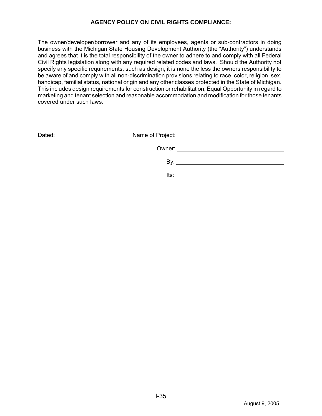#### **AGENCY POLICY ON CIVIL RIGHTS COMPLIANCE:**

The owner/developer/borrower and any of its employees, agents or sub-contractors in doing business with the Michigan State Housing Development Authority (the "Authority") understands and agrees that it is the total responsibility of the owner to adhere to and comply with all Federal Civil Rights legislation along with any required related codes and laws. Should the Authority not specify any specific requirements, such as design, it is none the less the owners responsibility to be aware of and comply with all non-discrimination provisions relating to race, color, religion, sex, handicap, familial status, national origin and any other classes protected in the State of Michigan. This includes design requirements for construction or rehabilitation, Equal Opportunity in regard to marketing and tenant selection and reasonable accommodation and modification for those tenants covered under such laws.

| Dated:<br><u> 1980 - Jan Barbara Barbara, prima popula</u> |      |  |
|------------------------------------------------------------|------|--|
|                                                            |      |  |
|                                                            | Bv:  |  |
|                                                            | lts: |  |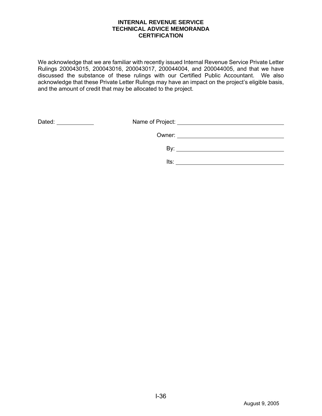#### **INTERNAL REVENUE SERVICE TECHNICAL ADVICE MEMORANDA CERTIFICATION**

We acknowledge that we are familiar with recently issued Internal Revenue Service Private Letter Rulings 200043015, 200043016, 200043017, 200044004, and 200044005, and that we have discussed the substance of these rulings with our Certified Public Accountant. We also acknowledge that these Private Letter Rulings may have an impact on the project's eligible basis, and the amount of credit that may be allocated to the project.

|      | Dated:<br><u> 1989 - Johann Marie Barnett, f</u> |
|------|--------------------------------------------------|
|      |                                                  |
| Bv:  |                                                  |
| lts: |                                                  |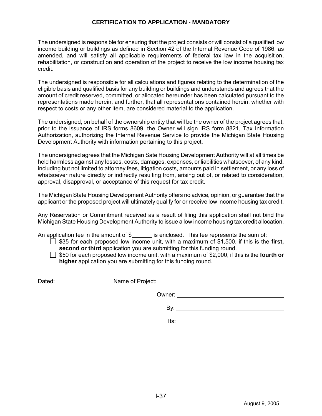#### **CERTIFICATION TO APPLICATION - MANDATORY**

The undersigned is responsible for ensuring that the project consists or will consist of a qualified low income building or buildings as defined in Section 42 of the Internal Revenue Code of 1986, as amended, and will satisfy all applicable requirements of federal tax law in the acquisition, rehabilitation, or construction and operation of the project to receive the low income housing tax credit.

The undersigned is responsible for all calculations and figures relating to the determination of the eligible basis and qualified basis for any building or buildings and understands and agrees that the amount of credit reserved, committed, or allocated hereunder has been calculated pursuant to the representations made herein, and further, that all representations contained herein, whether with respect to costs or any other item, are considered material to the application.

The undersigned, on behalf of the ownership entity that will be the owner of the project agrees that, prior to the issuance of IRS forms 8609, the Owner will sign IRS form 8821, Tax Information Authorization, authorizing the Internal Revenue Service to provide the Michigan State Housing Development Authority with information pertaining to this project.

The undersigned agrees that the Michigan Sate Housing Development Authority will at all times be held harmless against any losses, costs, damages, expenses, or liabilities whatsoever, of any kind, including but not limited to attorney fees, litigation costs, amounts paid in settlement, or any loss of whatsoever nature directly or indirectly resulting from, arising out of, or related to consideration, approval, disapproval, or acceptance of this request for tax credit.

The Michigan State Housing Development Authority offers no advice, opinion, or guarantee that the applicant or the proposed project will ultimately qualify for or receive low income housing tax credit.

Any Reservation or Commitment received as a result of filing this application shall not bind the Michigan State Housing Development Authority to issue a low income housing tax credit allocation.

An application fee in the amount of \$ is enclosed. This fee represents the sum of:

 $\Box$  \$35 for each proposed low income unit, with a maximum of \$1,500, if this is the first, **second or third** application you are submitting for this funding round.

 $\Box$  \$50 for each proposed low income unit, with a maximum of \$2,000, if this is the **fourth or higher** application you are submitting for this funding round.

| Dated: _____________ |      |  |
|----------------------|------|--|
|                      |      |  |
|                      | Bv:  |  |
|                      |      |  |
|                      | Its: |  |
|                      |      |  |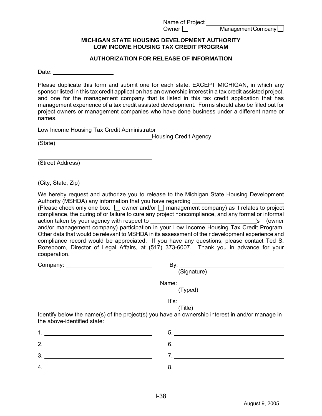Name of Project

 $O$ wner  $\Box$  Management Company

#### **MICHIGAN STATE HOUSING DEVELOPMENT AUTHORITY LOW INCOME HOUSING TAX CREDIT PROGRAM**

#### **AUTHORIZATION FOR RELEASE OF INFORMATION**

Date: **Date: Date: Date: Date: Date: Date: Date: Date: Date: Date: Date: Date: Date: Date: Date: Date: Date: Date: Date: Date: Date: Date: Date: Date: Date: Date: Date:**

Please duplicate this form and submit one for each state, EXCEPT MICHIGAN, in which any sponsor listed in this tax credit application has an ownership interest in a tax credit assisted project, and one for the management company that is listed in this tax credit application that has management experience of a tax credit assisted development. Forms should also be filled out for project owners or management companies who have done business under a different name or names.

Low Income Housing Tax Credit Administrator

 Housing Credit Agency (State)

| $\overline{C}$   |  |  |
|------------------|--|--|
|                  |  |  |
| (Street Address) |  |  |

 $\overline{a}$ (City, State, Zip)

We hereby request and authorize you to release to the Michigan State Housing Development Authority (MSHDA) any information that you have regarding

(Please check only one box.  $\square$  owner and/or  $\square$  management company) as it relates to project compliance, the curing of or failure to cure any project noncompliance, and any formal or informal action taken by your agency with respect to 's (owner and/or management company) participation in your Low Income Housing Tax Credit Program. Other data that would be relevant to MSHDA in its assessment of their development experience and compliance record would be appreciated. If you have any questions, please contact Ted S. Rozeboom, Director of Legal Affairs, at (517) 373-6007. Thank you in advance for your cooperation.

|                             | By:                                                                                             |
|-----------------------------|-------------------------------------------------------------------------------------------------|
|                             | (Signature)                                                                                     |
|                             |                                                                                                 |
|                             | (Typed)                                                                                         |
|                             | It's:                                                                                           |
|                             | (Title)                                                                                         |
| the above-identified state: | Identify below the name(s) of the project(s) you have an ownership interest in and/or manage in |
|                             |                                                                                                 |
| 2. $\overline{\phantom{a}}$ | $6.$ $\overline{\phantom{a}}$                                                                   |
|                             |                                                                                                 |
|                             |                                                                                                 |

 $4.$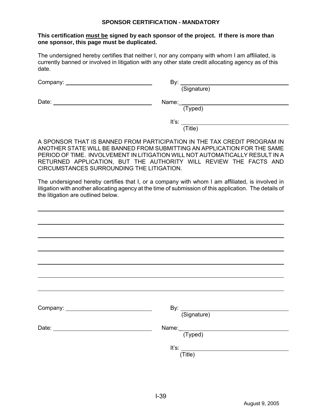#### **SPONSOR CERTIFICATION - MANDATORY**

#### **This certification must be signed by each sponsor of the project. If there is more than one sponsor, this page must be duplicated.**

The undersigned hereby certifies that neither I, nor any company with whom I am affiliated, is currently banned or involved in litigation with any other state credit allocating agency as of this date.

| Company: |  |
|----------|--|
|          |  |

 $By:   
   
   
   
 (Signature)$ 

Date: Name:\_

(Typed)

It's: (Title)

A SPONSOR THAT IS BANNED FROM PARTICIPATION IN THE TAX CREDIT PROGRAM IN ANOTHER STATE WILL BE BANNED FROM SUBMITTING AN APPLICATION FOR THE SAME PERIOD OF TIME. INVOLVEMENT IN LITIGATION WILL NOT AUTOMATICALLY RESULT IN A RETURNED APPLICATION, BUT THE AUTHORITY WILL REVIEW THE FACTS AND CIRCUMSTANCES SURROUNDING THE LITIGATION.

The undersigned hereby certifies that I, or a company with whom I am affiliated, is involved in litigation with another allocating agency at the time of submission of this application. The details of the litigation are outlined below.

| By: (Signature)       |
|-----------------------|
|                       |
| Name: (Typed)         |
|                       |
| It's: $\qquad \qquad$ |
| (Title)               |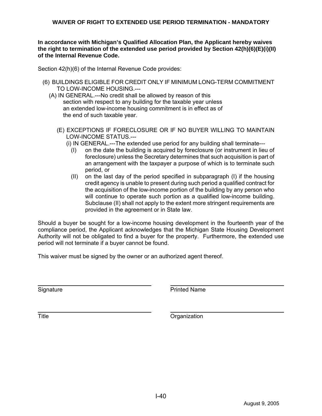**In accordance with Michigan's Qualified Allocation Plan, the Applicant hereby waives the right to termination of the extended use period provided by Section 42(h)(6)(E)(i)(II) of the Internal Revenue Code.** 

Section 42(h)(6) of the Internal Revenue Code provides:

- (6) BUILDINGS ELIGIBLE FOR CREDIT ONLY IF MINIMUM LONG-TERM COMMITMENT TO LOW-INCOME HOUSING.---
	- (A) IN GENERAL.---No credit shall be allowed by reason of this section with respect to any building for the taxable year unless an extended low-income housing commitment is in effect as of the end of such taxable year.
		- (E) EXCEPTIONS IF FORECLOSURE OR IF NO BUYER WILLING TO MAINTAIN LOW-INCOME STATUS.---
			- (i) IN GENERAL.---The extended use period for any building shall terminate---
				- (I) on the date the building is acquired by foreclosure (or instrument in lieu of foreclosure) unless the Secretary determines that such acquisition is part of an arrangement with the taxpayer a purpose of which is to terminate such period, or
				- (II) on the last day of the period specified in subparagraph (I) if the housing credit agency is unable to present during such period a qualified contract for the acquisition of the low-income portion of the building by any person who will continue to operate such portion as a qualified low-income building. Subclause (II) shall not apply to the extent more stringent requirements are provided in the agreement or in State law.

Should a buyer be sought for a low-income housing development in the fourteenth year of the compliance period, the Applicant acknowledges that the Michigan State Housing Development Authority will not be obligated to find a buyer for the property. Furthermore, the extended use period will not terminate if a buyer cannot be found.

This waiver must be signed by the owner or an authorized agent thereof.

Signature **Printed Name** 

 $\overline{a}$ 

 $\overline{a}$ 

Title **The Contract Contract Contract Contract Contract Contract Contract Contract Contract Contract Contract Contract Contract Contract Contract Contract Contract Contract Contract Contract Contract Contract Contract Cont**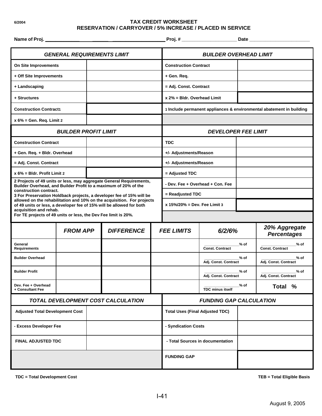#### **6/2004 TAX CREDIT WORKSHEET RESERVATION / CARRYOVER / 5% INCREASE / PLACED IN SERVICE**

| Name of Proj. _                                                                          |                             |  | <u> 1989 - Johann Barn, mars an t-Amerikaansk politiker (</u>                                                                                  |                                |                                  |                                  |        |                                                                      |  |
|------------------------------------------------------------------------------------------|-----------------------------|--|------------------------------------------------------------------------------------------------------------------------------------------------|--------------------------------|----------------------------------|----------------------------------|--------|----------------------------------------------------------------------|--|
| <b>GENERAL REQUIREMENTS LIMIT</b>                                                        |                             |  |                                                                                                                                                | <b>BUILDER OVERHEAD LIMIT</b>  |                                  |                                  |        |                                                                      |  |
| On Site Improvements                                                                     |                             |  |                                                                                                                                                |                                |                                  | <b>Construction Contract</b>     |        |                                                                      |  |
| + Off Site Improvements                                                                  |                             |  |                                                                                                                                                |                                | + Gen. Req.                      |                                  |        |                                                                      |  |
| + Landscaping                                                                            |                             |  |                                                                                                                                                |                                | = Adj. Const. Contract           |                                  |        |                                                                      |  |
| + Structures                                                                             |                             |  |                                                                                                                                                |                                | x 2% = Bldr. Overhead Limit      |                                  |        |                                                                      |  |
| <b>Construction Contract1</b>                                                            |                             |  |                                                                                                                                                |                                |                                  |                                  |        | 1 Include permanent appliances & environmental abatement in building |  |
| $x 6\%$ = Gen. Req. Limit 2                                                              |                             |  |                                                                                                                                                |                                |                                  |                                  |        |                                                                      |  |
|                                                                                          | <b>BUILDER PROFIT LIMIT</b> |  |                                                                                                                                                |                                |                                  | <b>DEVELOPER FEE LIMIT</b>       |        |                                                                      |  |
| <b>Construction Contract</b>                                                             |                             |  |                                                                                                                                                |                                | <b>TDC</b>                       |                                  |        |                                                                      |  |
| + Gen. Req. + Bldr. Overhead                                                             |                             |  |                                                                                                                                                |                                | +/- Adjustments/Reason           |                                  |        |                                                                      |  |
| = Adj. Const. Contract                                                                   |                             |  |                                                                                                                                                |                                | +/- Adjustments/Reason           |                                  |        |                                                                      |  |
| $x 6\%$ = Bldr. Profit Limit 2                                                           |                             |  |                                                                                                                                                |                                | = Adjusted TDC                   |                                  |        |                                                                      |  |
|                                                                                          |                             |  | 2 Projects of 49 units or less, may aggregate General Requirements,<br>Builder Overhead, and Builder Profit to a maximum of 20% of the         |                                | - Dev. Fee + Overhead + Con. Fee |                                  |        |                                                                      |  |
| construction contract.                                                                   |                             |  | 3 For Preservation Holdback projects, a developer fee of 15% will be                                                                           |                                | = Readjusted TDC                 |                                  |        |                                                                      |  |
|                                                                                          |                             |  | allowed on the rehabilitation and 10% on the acquisition. For projects<br>of 49 units or less, a developer fee of 15% will be allowed for both |                                |                                  | x $15\%/20\% = Dev.$ Fee Limit 3 |        |                                                                      |  |
| acquisition and rehab.<br>For TE projects of 49 units or less, the Dev Fee limit is 20%. |                             |  |                                                                                                                                                |                                |                                  |                                  |        |                                                                      |  |
|                                                                                          | <b>FROM APP</b>             |  | <b>DIFFERENCE</b>                                                                                                                              |                                | <b>FEE LIMITS</b>                | 6/2/6%                           |        | 20% Aggregate<br><b>Percentages</b>                                  |  |
| General<br>Requirements                                                                  |                             |  |                                                                                                                                                |                                |                                  | <b>Const. Contract</b>           | $%$ of | $%$ of<br><b>Const. Contract</b>                                     |  |
| <b>Builder Overhead</b>                                                                  |                             |  |                                                                                                                                                |                                |                                  | Adj. Const. Contract             | $%$ of | $%$ of<br>Adj. Const. Contract                                       |  |
| <b>Builder Profit</b>                                                                    |                             |  |                                                                                                                                                |                                |                                  | Adj. Const. Contract             | % of   | % of<br>Adj. Const. Contract                                         |  |
| Dev. Fee + Overhead<br>+ Consultant Fee                                                  |                             |  |                                                                                                                                                |                                |                                  | <b>TDC minus itself</b>          | $%$ of | Total %                                                              |  |
| TOTAL DEVELOPMENT COST CALCULATION                                                       |                             |  |                                                                                                                                                | <b>FUNDING GAP CALCULATION</b> |                                  |                                  |        |                                                                      |  |
| <b>Adjusted Total Development Cost</b>                                                   |                             |  | <b>Total Uses (Final Adjusted TDC)</b>                                                                                                         |                                |                                  |                                  |        |                                                                      |  |
| - Excess Developer Fee                                                                   |                             |  | - Syndication Costs                                                                                                                            |                                |                                  |                                  |        |                                                                      |  |
| <b>FINAL ADJUSTED TDC</b>                                                                |                             |  | - Total Sources in documentation                                                                                                               |                                |                                  |                                  |        |                                                                      |  |
|                                                                                          |                             |  | <b>FUNDING GAP</b>                                                                                                                             |                                |                                  |                                  |        |                                                                      |  |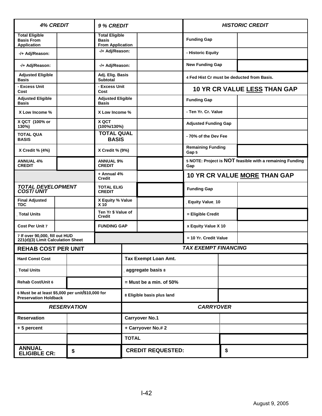| <b>4% CREDIT</b>                                                                 |               | 9 % CREDIT                         |                                                                  | <b>HISTORIC CREDIT</b>      |                          |                                                                 |    |  |
|----------------------------------------------------------------------------------|---------------|------------------------------------|------------------------------------------------------------------|-----------------------------|--------------------------|-----------------------------------------------------------------|----|--|
| <b>Total Eligible</b><br><b>Basis From</b><br><b>Application</b>                 |               |                                    | <b>Total Eligible</b><br><b>Basis</b><br><b>From Application</b> |                             |                          | <b>Funding Gap</b>                                              |    |  |
| -/+ Adj/Reason:                                                                  |               |                                    | -/+ Adj/Reason:                                                  |                             | - Historic Equity        |                                                                 |    |  |
| -/+ Adj/Reason:                                                                  |               |                                    | -/+ Adj/Reason:                                                  |                             |                          | <b>New Funding Gap</b>                                          |    |  |
| <b>Adjusted Eligible</b><br><b>Basis</b>                                         |               |                                    | <b>Subtotal</b>                                                  | Adj. Elig. Basis            |                          | 4 Fed Hist Cr must be deducted from Basis.                      |    |  |
| - Excess Unit<br>Cost                                                            |               |                                    | - Excess Unit<br>Cost                                            |                             |                          | 10 YR CR VALUE LESS THAN GAP                                    |    |  |
| <b>Adjusted Eligible</b><br><b>Basis</b>                                         |               |                                    | <b>Adjusted Eligible</b><br><b>Basis</b>                         |                             | <b>Funding Gap</b>       |                                                                 |    |  |
| X Low Income %                                                                   |               |                                    | X Low Income %                                                   |                             |                          | - Ten Yr. Cr. Value                                             |    |  |
| X QCT (100% or<br>130%)                                                          |               |                                    | X QCT<br>(100%/130%)                                             |                             |                          | <b>Adjusted Funding Gap</b>                                     |    |  |
| <b>TOTAL QUA</b><br><b>BASIS</b>                                                 |               |                                    | <b>TOTAL QUAL</b><br><b>BASIS</b>                                |                             |                          | -70% of the Dev Fee                                             |    |  |
| X Credit % (4%)                                                                  |               |                                    | X Credit % (9%)                                                  |                             |                          | <b>Remaining Funding</b><br>Gap 5                               |    |  |
| <b>ANNUAL 4%</b><br><b>CREDIT</b>                                                |               |                                    | <b>ANNUAL 9%</b><br><b>CREDIT</b>                                |                             |                          | 5 NOTE: Project is NOT feasible with a remaining Funding<br>Gap |    |  |
| <b>Credit</b>                                                                    |               | + Annual 4%                        |                                                                  |                             |                          | <b>10 YR CR VALUE MORE THAN GAP</b>                             |    |  |
| <b>TOTAL DEVELOPMENT<br/>COST/UNIT</b>                                           |               | <b>TOTAL ELIG</b><br><b>CREDIT</b> |                                                                  |                             | <b>Funding Gap</b>       |                                                                 |    |  |
| <b>Final Adjusted</b><br><b>TDC</b>                                              |               |                                    | X Equity % Value<br>X 10                                         |                             |                          | Equity Value 10                                                 |    |  |
| <b>Total Units</b>                                                               | <b>Credit</b> |                                    | Ten Yr \$ Value of                                               |                             |                          | = Eligible Credit                                               |    |  |
| <b>Cost Per Unit 7</b>                                                           |               |                                    | <b>FUNDING GAP</b>                                               | x Equity Value X 10         |                          |                                                                 |    |  |
| 7 If over 90,000, fill out HUD<br>221(d)(3) Limit Calculation Sheet              |               |                                    |                                                                  | = 10 Yr. Credit Value       |                          |                                                                 |    |  |
| <b>REHAB COST PER UNIT</b>                                                       |               |                                    |                                                                  | <b>TAX EXEMPT FINANCING</b> |                          |                                                                 |    |  |
| <b>Hard Const Cost</b>                                                           |               |                                    |                                                                  |                             | Tax Exempt Loan Amt.     |                                                                 |    |  |
| <b>Total Units</b>                                                               |               |                                    |                                                                  | aggregate basis 8           |                          |                                                                 |    |  |
| <b>Rehab Cost/Unit 6</b>                                                         |               |                                    |                                                                  | $=$ Must be a min. of 50%   |                          |                                                                 |    |  |
| 6 Must be at least \$5,000 per unit/\$10,000 for<br><b>Preservation Holdback</b> |               | 8 Eligible basis plus land         |                                                                  |                             |                          |                                                                 |    |  |
| <b>RESERVATION</b>                                                               |               |                                    | <b>CARRYOVER</b>                                                 |                             |                          |                                                                 |    |  |
| <b>Carryover No.1</b><br><b>Reservation</b>                                      |               |                                    |                                                                  |                             |                          |                                                                 |    |  |
| +5 percent                                                                       |               |                                    | + Carryover No.# 2                                               |                             |                          |                                                                 |    |  |
|                                                                                  |               |                                    |                                                                  | <b>TOTAL</b>                |                          |                                                                 |    |  |
| <b>ANNUAL</b><br><b>ELIGIBLE CR:</b>                                             |               | \$                                 |                                                                  |                             | <b>CREDIT REQUESTED:</b> |                                                                 | \$ |  |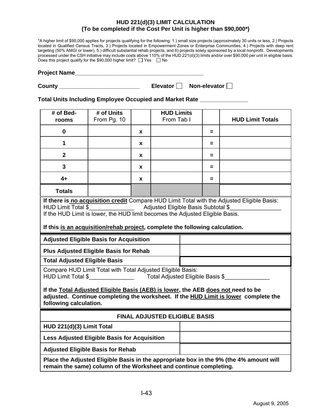#### **HUD 221(d)(3) LIMIT CALCULATION (To be completed if the Cost Per Unit is higher than \$90,000\*)**

\*A higher limit of \$90,000 applies for projects qualifying for the following: 1.) small size projects (approximately 30 units or less, 2.) Projects located in Qualified Census Tracts, 3.) Projects located in Empowerment Zones or Enterprise Communities, 4.) Projects with deep rent targeting (50% AMGI or lower), 5.) difficult substantial rehab projects, and 6) projects solely sponsored by a local nonprofit. Developments processed under the CSH initiative may include costs above 110% of the HUD 221(d)(3) limits and/or over \$90,000 per unit in eligible basis. Does this project qualify for the \$90,000 higher limit?  $\Box$  Yes  $\Box$  No

| <b>Project Name</b> |  |
|---------------------|--|
|                     |  |

| County | Elevator <sup> </sup> | Non-elevator |
|--------|-----------------------|--------------|
|        |                       |              |

**Total Units Including Employee Occupied and Market Rate \_\_\_\_\_\_\_\_\_\_\_\_\_\_\_** 

| # of Bed-<br>rooms                                                                                                                                                                                                                                                                                                                                                              | # of Units<br>From Pg. 10                                                                                                    |          | <b>HUD Limits</b><br>From Tab I |  |          | <b>HUD Limit Totals</b> |  |  |
|---------------------------------------------------------------------------------------------------------------------------------------------------------------------------------------------------------------------------------------------------------------------------------------------------------------------------------------------------------------------------------|------------------------------------------------------------------------------------------------------------------------------|----------|---------------------------------|--|----------|-------------------------|--|--|
| $\mathbf 0$                                                                                                                                                                                                                                                                                                                                                                     |                                                                                                                              | <b>X</b> |                                 |  | =        |                         |  |  |
| 1                                                                                                                                                                                                                                                                                                                                                                               |                                                                                                                              | X        |                                 |  | $=$      |                         |  |  |
| $\overline{2}$                                                                                                                                                                                                                                                                                                                                                                  |                                                                                                                              | X        |                                 |  | $=$      |                         |  |  |
| 3                                                                                                                                                                                                                                                                                                                                                                               |                                                                                                                              | X        |                                 |  | =        |                         |  |  |
| $4+$                                                                                                                                                                                                                                                                                                                                                                            |                                                                                                                              | x        |                                 |  | $\equiv$ |                         |  |  |
| <b>Totals</b>                                                                                                                                                                                                                                                                                                                                                                   |                                                                                                                              |          |                                 |  |          |                         |  |  |
| If there is no acquisition credit Compare HUD Limit Total with the Adjusted Eligible Basis:<br>Adjusted Eligible Basis Subtotal \$<br><b>HUD Limit Total \$</b><br><u> 1980 - Jan Barbara III, prima posta</u><br>If the HUD Limit is lower, the HUD limit becomes the Adjusted Eligible Basis.<br>If this is an acquisition/rehab project, complete the following calculation. |                                                                                                                              |          |                                 |  |          |                         |  |  |
| <b>Adjusted Eligible Basis for Acquisition</b>                                                                                                                                                                                                                                                                                                                                  |                                                                                                                              |          |                                 |  |          |                         |  |  |
| <b>Plus Adjusted Eligible Basis for Rehab</b>                                                                                                                                                                                                                                                                                                                                   |                                                                                                                              |          |                                 |  |          |                         |  |  |
|                                                                                                                                                                                                                                                                                                                                                                                 | <b>Total Adjusted Eligible Basis</b>                                                                                         |          |                                 |  |          |                         |  |  |
|                                                                                                                                                                                                                                                                                                                                                                                 | Compare HUD Limit Total with Total Adjusted Eligible Basis:<br><b>HUD Limit Total \$</b><br>Total Adjusted Eligible Basis \$ |          |                                 |  |          |                         |  |  |
| If the Total Adjusted Eligible Basis (AEB) is lower, the AEB does not need to be<br>adjusted. Continue completing the worksheet. If the HUD Limit is lower complete the<br>following calculation.                                                                                                                                                                               |                                                                                                                              |          |                                 |  |          |                         |  |  |
| <b>FINAL ADJUSTED ELIGIBLE BASIS</b>                                                                                                                                                                                                                                                                                                                                            |                                                                                                                              |          |                                 |  |          |                         |  |  |
| HUD 221(d)(3) Limit Total                                                                                                                                                                                                                                                                                                                                                       |                                                                                                                              |          |                                 |  |          |                         |  |  |
| Less Adjusted Eligible Basis for Acquisition                                                                                                                                                                                                                                                                                                                                    |                                                                                                                              |          |                                 |  |          |                         |  |  |
| <b>Adjusted Eligible Basis for Rehab</b>                                                                                                                                                                                                                                                                                                                                        |                                                                                                                              |          |                                 |  |          |                         |  |  |
| Place the Adjusted Eligible Basis in the appropriate box in the 9% (the 4% amount will<br>remain the same) column of the Worksheet and continue completing.                                                                                                                                                                                                                     |                                                                                                                              |          |                                 |  |          |                         |  |  |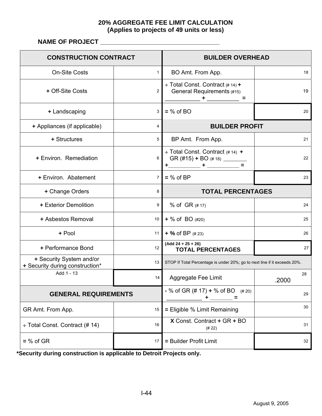### **20% AGGREGATE FEE LIMIT CALCULATION (Applies to projects of 49 units or less)**

**NAME OF PROJECT \_\_\_\_\_\_\_\_\_\_\_\_\_\_\_\_\_\_\_\_\_\_\_\_\_\_\_\_\_\_\_\_\_\_** 

| <b>CONSTRUCTION CONTRACT</b>                                |                | <b>BUILDER OVERHEAD</b>                                                                  |             |  |  |
|-------------------------------------------------------------|----------------|------------------------------------------------------------------------------------------|-------------|--|--|
| <b>On-Site Costs</b>                                        | 1              | BO Amt. From App.                                                                        | 18          |  |  |
| + Off-Site Costs                                            | $\overline{2}$ | + Total Const. Contract (# 14) +<br>General Requirements (#15)<br>$+$ $   -$<br>$\equiv$ | 19          |  |  |
| + Landscaping                                               | 3              | $=$ % of BO                                                                              | 20          |  |  |
| + Appliances (if applicable)                                | 4              | <b>BUILDER PROFIT</b>                                                                    |             |  |  |
| + Structures                                                | 5              | BP Amt. From App.                                                                        | 21          |  |  |
| + Environ. Remediation                                      | 6              | $\div$ Total Const. Contract (#14) +                                                     | 22          |  |  |
| + Environ. Abatement                                        | 7              | $=$ % of BP                                                                              | 23          |  |  |
| + Change Orders                                             | 8              | <b>TOTAL PERCENTAGES</b>                                                                 |             |  |  |
| + Exterior Demolition                                       | 9              | % of GR (#17)                                                                            | 24          |  |  |
| + Asbestos Removal                                          | 10             | $+$ % of BO $(#20)$                                                                      | 25          |  |  |
| + Pool                                                      | 11             | $+$ % of BP $(#23)$                                                                      | 26          |  |  |
| + Performance Bond                                          | 12             | $(Add 24 + 25 + 26)$<br><b>TOTAL PERCENTAGES</b>                                         | 27          |  |  |
| + Security System and/or<br>+ Security during construction* | 13             | STOP If Total Percentage is under 20%; go to next line if it exceeds 20%.                |             |  |  |
| Add 1 - 13                                                  | 14             | Aggregate Fee Limit                                                                      | 28<br>.2000 |  |  |
| <b>GENERAL REQUIREMENTS</b>                                 |                | $-$ % of GR (# 17) + % of BO<br>(# 20)                                                   | 29          |  |  |
| GR Amt. From App.                                           | 15             | = Eligible % Limit Remaining                                                             | 30          |  |  |
| + Total Const. Contract (#14)                               | 16             | X Const. Contract + GR + BO<br>(# 22)                                                    | 31          |  |  |
| $=$ % of GR                                                 | 17             | = Builder Profit Limit                                                                   | 32          |  |  |

**\*Security during construction is applicable to Detroit Projects only.**